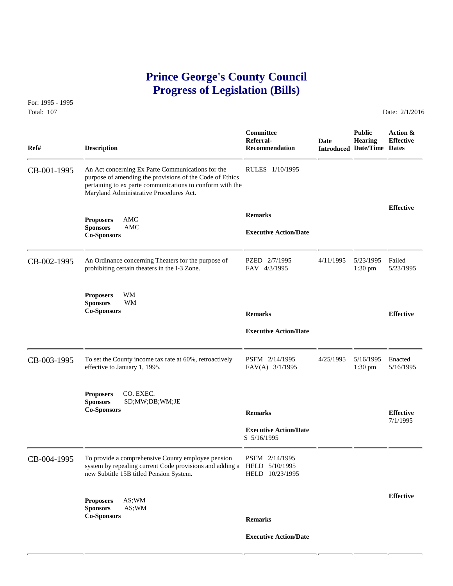## **Prince George's County Council Progress of Legislation (Bills)**

For: 1995 - 1995 Total: 107 **Date: 2/1/2016** 

 **Committee Public Action & Referral- Date Hearing Effective Ref# Description Recommendation Introduced Date/Time Dates** CB-001-1995 An Act concerning Ex Parte Communications for the RULES 1/10/1995 purpose of amending the provisions of the Code of Ethics pertaining to ex parte communications to conform with the Maryland Administrative Procedures Act. **Effective Remarks Proposers** AMC **Sponsors** AMC **Executive Action/Date Co-Sponsors Co-Sponsors** CB-002-1995 An Ordinance concerning Theaters for the purpose of PZED 2/7/1995 4/11/1995 5/23/1995 Failed<br>prohibiting certain theaters in the I-3 Zone. FAV 4/3/1995 1:30 pm 5/23/1995 prohibiting certain theaters in the I-3 Zone. **Proposers** WM **Sponsors** WM **Co-Sponsors Remarks Effective Executive Action/Date** CB-003-1995 To set the County income tax rate at 60%, retroactively PSFM  $2/14/1995$   $4/25/1995$   $5/16/1995$  Enacted FAV(A)  $3/1/1995$   $1:30 \text{ pm}$   $5/16/1995$ effective to January 1, 1995. **Proposers** CO. EXEC. **Sponsors** SD;MW;DB;WM;JE **Co-Sponsors Remarks Effective** 7/1/1995  **Executive Action/Date** S 5/16/1995 CB-004-1995 To provide a comprehensive County employee pension PSFM 2/14/1995<br>system by repealing current Code provisions and adding a HELD 5/10/1995 system by repealing current Code provisions and adding a new Subtitle 15B titled Pension System. HELD 10/23/1995 **Effective Proposers** AS;WM **Sponsors** AS;WM **Co-Sponsors Remarks Executive Action/Date**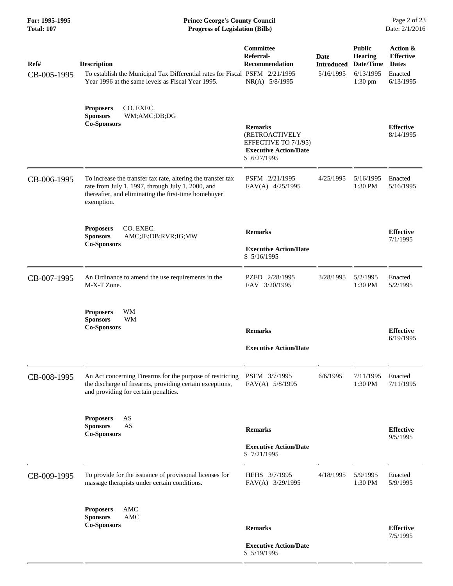|                                                           |                     |                                                                                                                                                                                                                                                                                                                                                                                                                                                                                                                                                                                                              | <b>Prince George's County Council</b><br>Date: 2/1/2016<br><b>Progress of Legislation (Bills)</b> |                                                                        |                                                                      |  |  |
|-----------------------------------------------------------|---------------------|--------------------------------------------------------------------------------------------------------------------------------------------------------------------------------------------------------------------------------------------------------------------------------------------------------------------------------------------------------------------------------------------------------------------------------------------------------------------------------------------------------------------------------------------------------------------------------------------------------------|---------------------------------------------------------------------------------------------------|------------------------------------------------------------------------|----------------------------------------------------------------------|--|--|
| <b>Description</b>                                        |                     | Committee<br>Referral-<br><b>Recommendation</b><br>NR(A) 5/8/1995                                                                                                                                                                                                                                                                                                                                                                                                                                                                                                                                            | Date<br><b>Introduced</b><br>5/16/1995                                                            | <b>Public</b><br><b>Hearing</b><br>Date/Time<br>6/13/1995<br>$1:30$ pm | Action &<br><b>Effective</b><br><b>Dates</b><br>Enacted<br>6/13/1995 |  |  |
| <b>Proposers</b><br><b>Sponsors</b><br><b>Co-Sponsors</b> | WM;AMC;DB;DG        | <b>Remarks</b><br>(RETROACTIVELY<br>EFFECTIVE TO 7/1/95)<br><b>Executive Action/Date</b><br>S 6/27/1995                                                                                                                                                                                                                                                                                                                                                                                                                                                                                                      |                                                                                                   |                                                                        | <b>Effective</b><br>8/14/1995                                        |  |  |
| exemption.                                                |                     | PSFM 2/21/1995<br>FAV(A) 4/25/1995                                                                                                                                                                                                                                                                                                                                                                                                                                                                                                                                                                           | 4/25/1995                                                                                         | 5/16/1995<br>1:30 PM                                                   | Enacted<br>5/16/1995                                                 |  |  |
| <b>Proposers</b><br><b>Sponsors</b><br><b>Co-Sponsors</b> | AMC;JE;DB;RVR;IG;MW | <b>Remarks</b><br><b>Executive Action/Date</b><br>S 5/16/1995                                                                                                                                                                                                                                                                                                                                                                                                                                                                                                                                                |                                                                                                   |                                                                        | <b>Effective</b><br>7/1/1995                                         |  |  |
| M-X-T Zone.                                               |                     | PZED 2/28/1995<br>FAV 3/20/1995                                                                                                                                                                                                                                                                                                                                                                                                                                                                                                                                                                              | 3/28/1995                                                                                         | 5/2/1995<br>1:30 PM                                                    | Enacted<br>5/2/1995                                                  |  |  |
| <b>Proposers</b><br><b>Sponsors</b><br><b>Co-Sponsors</b> | WM                  | <b>Remarks</b><br><b>Executive Action/Date</b>                                                                                                                                                                                                                                                                                                                                                                                                                                                                                                                                                               |                                                                                                   |                                                                        | <b>Effective</b><br>6/19/1995                                        |  |  |
|                                                           |                     | PSFM 3/7/1995<br>FAV(A) 5/8/1995                                                                                                                                                                                                                                                                                                                                                                                                                                                                                                                                                                             | 6/6/1995                                                                                          | 7/11/1995<br>1:30 PM                                                   | Enacted<br>7/11/1995                                                 |  |  |
| <b>Proposers</b><br><b>Sponsors</b><br><b>Co-Sponsors</b> | AS                  | <b>Remarks</b><br><b>Executive Action/Date</b><br>S 7/21/1995                                                                                                                                                                                                                                                                                                                                                                                                                                                                                                                                                |                                                                                                   |                                                                        | <b>Effective</b><br>9/5/1995                                         |  |  |
|                                                           |                     | HEHS 3/7/1995<br>FAV(A) 3/29/1995                                                                                                                                                                                                                                                                                                                                                                                                                                                                                                                                                                            | 4/18/1995                                                                                         | 5/9/1995<br>1:30 PM                                                    | Enacted<br>5/9/1995                                                  |  |  |
| <b>Proposers</b><br><b>Sponsors</b><br><b>Co-Sponsors</b> | AMC                 | <b>Remarks</b><br><b>Executive Action/Date</b>                                                                                                                                                                                                                                                                                                                                                                                                                                                                                                                                                               |                                                                                                   |                                                                        | <b>Effective</b><br>7/5/1995                                         |  |  |
|                                                           |                     | Year 1996 at the same levels as Fiscal Year 1995.<br>CO. EXEC.<br>To increase the transfer tax rate, altering the transfer tax<br>rate from July 1, 1997, through July 1, 2000, and<br>thereafter, and eliminating the first-time homebuyer<br>CO. EXEC.<br>An Ordinance to amend the use requirements in the<br>WM<br>An Act concerning Firearms for the purpose of restricting<br>the discharge of firearms, providing certain exceptions,<br>and providing for certain penalties.<br>AS<br>To provide for the issuance of provisional licenses for<br>massage therapists under certain conditions.<br>AMC | To establish the Municipal Tax Differential rates for Fiscal PSFM 2/21/1995<br>S 5/19/1995        |                                                                        |                                                                      |  |  |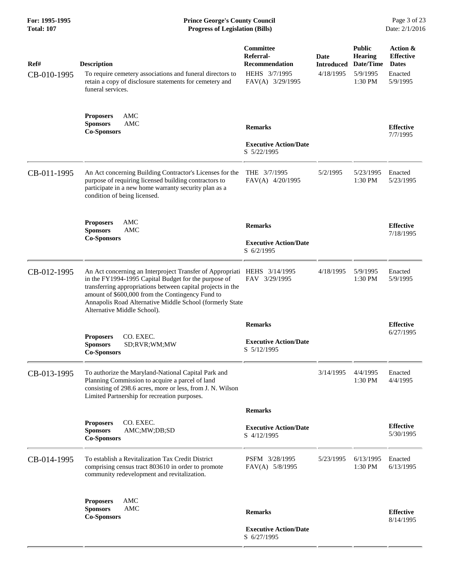| Ref#<br>CB-010-1995 | <b>Description</b><br>To require cemetery associations and funeral directors to<br>retain a copy of disclosure statements for cemetery and<br>funeral services.                                                                                                                                                                                | Committee<br>Referral-<br><b>Recommendation</b><br>HEHS 3/7/1995<br>FAV(A) 3/29/1995 | Date<br><b>Introduced</b><br>4/18/1995 | <b>Public</b><br><b>Hearing</b><br>Date/Time<br>5/9/1995<br>1:30 PM | Action &<br><b>Effective</b><br><b>Dates</b><br>Enacted<br>5/9/1995 |
|---------------------|------------------------------------------------------------------------------------------------------------------------------------------------------------------------------------------------------------------------------------------------------------------------------------------------------------------------------------------------|--------------------------------------------------------------------------------------|----------------------------------------|---------------------------------------------------------------------|---------------------------------------------------------------------|
|                     | <b>Proposers</b><br>AMC<br><b>AMC</b><br><b>Sponsors</b><br><b>Co-Sponsors</b>                                                                                                                                                                                                                                                                 | <b>Remarks</b><br><b>Executive Action/Date</b><br>S 5/22/1995                        |                                        |                                                                     | <b>Effective</b><br>7/7/1995                                        |
| CB-011-1995         | An Act concerning Building Contractor's Licenses for the<br>purpose of requiring licensed building contractors to<br>participate in a new home warranty security plan as a<br>condition of being licensed.                                                                                                                                     | THE $3/7/1995$<br>FAV(A) 4/20/1995                                                   | 5/2/1995                               | 5/23/1995<br>1:30 PM                                                | Enacted<br>5/23/1995                                                |
|                     | <b>Proposers</b><br>AMC<br><b>Sponsors</b><br><b>AMC</b><br><b>Co-Sponsors</b>                                                                                                                                                                                                                                                                 | <b>Remarks</b><br><b>Executive Action/Date</b><br>S 6/2/1995                         |                                        |                                                                     | <b>Effective</b><br>7/18/1995                                       |
| CB-012-1995         | An Act concerning an Interproject Transfer of Appropriati HEHS 3/14/1995<br>in the FY1994-1995 Capital Budget for the purpose of<br>transferring appropriations between capital projects in the<br>amount of \$600,000 from the Contingency Fund to<br>Annapolis Road Alternative Middle School (formerly State<br>Alternative Middle School). | FAV 3/29/1995                                                                        | 4/18/1995                              | 5/9/1995<br>1:30 PM                                                 | Enacted<br>5/9/1995                                                 |
|                     | CO. EXEC.<br><b>Proposers</b><br><b>Sponsors</b><br>SD;RVR;WM;MW<br><b>Co-Sponsors</b>                                                                                                                                                                                                                                                         | <b>Remarks</b><br><b>Executive Action/Date</b><br>S 5/12/1995                        |                                        |                                                                     | <b>Effective</b><br>6/27/1995                                       |
| CB-013-1995         | To authorize the Maryland-National Capital Park and<br>Planning Commission to acquire a parcel of land<br>consisting of 298.6 acres, more or less, from J. N. Wilson<br>Limited Partnership for recreation purposes.                                                                                                                           |                                                                                      | 3/14/1995                              | 4/4/1995<br>1:30 PM                                                 | Enacted<br>4/4/1995                                                 |
|                     | <b>Proposers</b><br>CO. EXEC.<br>AMC;MW;DB;SD<br><b>Sponsors</b><br><b>Co-Sponsors</b>                                                                                                                                                                                                                                                         | <b>Remarks</b><br><b>Executive Action/Date</b><br>S 4/12/1995                        |                                        |                                                                     | <b>Effective</b><br>5/30/1995                                       |
| CB-014-1995         | To establish a Revitalization Tax Credit District<br>comprising census tract 803610 in order to promote<br>community redevelopment and revitalization.                                                                                                                                                                                         | PSFM 3/28/1995<br>FAV(A) 5/8/1995                                                    | 5/23/1995                              | 6/13/1995<br>1:30 PM                                                | Enacted<br>6/13/1995                                                |
|                     | AMC<br><b>Proposers</b><br><b>Sponsors</b><br>AMC<br><b>Co-Sponsors</b>                                                                                                                                                                                                                                                                        | <b>Remarks</b><br><b>Executive Action/Date</b><br>S 6/27/1995                        |                                        |                                                                     | <b>Effective</b><br>8/14/1995                                       |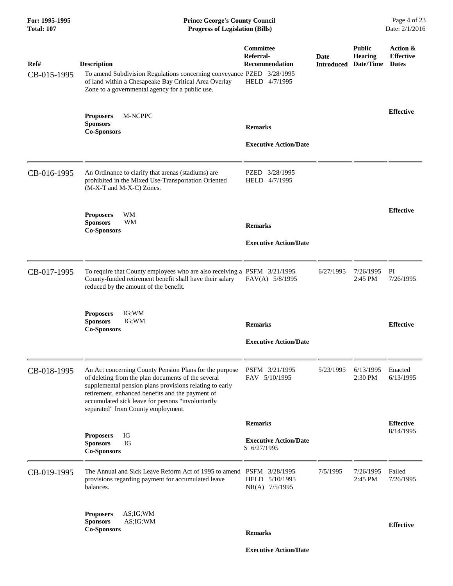| For: 1995-1995<br><b>Total: 107</b> | <b>Prince George's County Council</b><br><b>Progress of Legislation (Bills)</b>                                                                                                                                                                                                                                        |                                                                         |                           |                                              | Page 4 of 23<br>Date: 2/1/2016               |
|-------------------------------------|------------------------------------------------------------------------------------------------------------------------------------------------------------------------------------------------------------------------------------------------------------------------------------------------------------------------|-------------------------------------------------------------------------|---------------------------|----------------------------------------------|----------------------------------------------|
| Ref#<br>CB-015-1995                 | <b>Description</b><br>To amend Subdivision Regulations concerning conveyance PZED 3/28/1995<br>of land within a Chesapeake Bay Critical Area Overlay<br>Zone to a governmental agency for a public use.                                                                                                                | <b>Committee</b><br>Referral-<br><b>Recommendation</b><br>HELD 4/7/1995 | Date<br><b>Introduced</b> | <b>Public</b><br><b>Hearing</b><br>Date/Time | Action &<br><b>Effective</b><br><b>Dates</b> |
|                                     | <b>Proposers</b><br>M-NCPPC<br><b>Sponsors</b><br><b>Co-Sponsors</b>                                                                                                                                                                                                                                                   | <b>Remarks</b><br><b>Executive Action/Date</b>                          |                           |                                              | <b>Effective</b>                             |
| CB-016-1995                         | An Ordinance to clarify that arenas (stadiums) are<br>prohibited in the Mixed Use-Transportation Oriented<br>(M-X-T and M-X-C) Zones.                                                                                                                                                                                  | PZED 3/28/1995<br>HELD 4/7/1995                                         |                           |                                              |                                              |
|                                     | WM<br><b>Proposers</b><br><b>Sponsors</b><br><b>WM</b><br><b>Co-Sponsors</b>                                                                                                                                                                                                                                           | <b>Remarks</b><br><b>Executive Action/Date</b>                          |                           |                                              | <b>Effective</b>                             |
| CB-017-1995                         | To require that County employees who are also receiving a PSFM 3/21/1995<br>County-funded retirement benefit shall have their salary<br>reduced by the amount of the benefit.                                                                                                                                          | FAV(A) 5/8/1995                                                         | 6/27/1995                 | 7/26/1995<br>2:45 PM                         | PI<br>7/26/1995                              |
|                                     | IG;WM<br><b>Proposers</b><br>IG; WM<br><b>Sponsors</b><br><b>Co-Sponsors</b>                                                                                                                                                                                                                                           | <b>Remarks</b><br><b>Executive Action/Date</b>                          |                           |                                              | <b>Effective</b>                             |
| CB-018-1995                         | An Act concerning County Pension Plans for the purpose<br>of deleting from the plan documents of the several<br>supplemental pension plans provisions relating to early<br>retirement, enhanced benefits and the payment of<br>accumulated sick leave for persons "involuntarily<br>separated" from County employment. | PSFM 3/21/1995<br>FAV 5/10/1995                                         | 5/23/1995                 | 6/13/1995<br>2:30 PM                         | Enacted<br>6/13/1995                         |
|                                     |                                                                                                                                                                                                                                                                                                                        | <b>Remarks</b>                                                          |                           |                                              | <b>Effective</b>                             |
|                                     | IG<br><b>Proposers</b><br>IG<br><b>Sponsors</b><br><b>Co-Sponsors</b>                                                                                                                                                                                                                                                  | <b>Executive Action/Date</b><br>S 6/27/1995                             |                           |                                              | 8/14/1995                                    |
| CB-019-1995                         | The Annual and Sick Leave Reform Act of 1995 to amend PSFM 3/28/1995<br>provisions regarding payment for accumulated leave<br>balances.                                                                                                                                                                                | HELD 5/10/1995<br>NR(A) 7/5/1995                                        | 7/5/1995                  | 7/26/1995<br>2:45 PM                         | Failed<br>7/26/1995                          |
|                                     | <b>Proposers</b><br>AS; IG; WM<br><b>Sponsors</b><br>AS; IG; WM<br><b>Co-Sponsors</b>                                                                                                                                                                                                                                  | <b>Remarks</b>                                                          |                           |                                              | <b>Effective</b>                             |
|                                     |                                                                                                                                                                                                                                                                                                                        | <b>Executive Action/Date</b>                                            |                           |                                              |                                              |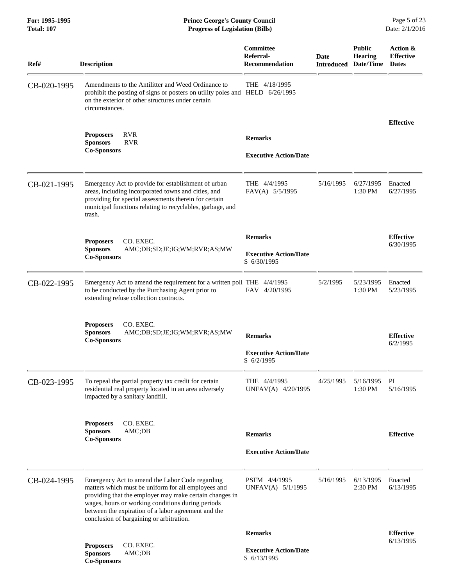## **For: 1995-1995 Prince George's County Council** Page 5 of 23<br> **Prince George's County Council** Page 5 of 23<br> **Progress of Legislation (Bills)** Date: 2/1/2016 **Total: 107 Progress of Legislation (Bills)**

| Ref#        | <b>Description</b>                                                                                                                                                                                                                                                                                                        | Committee<br>Referral-<br><b>Recommendation</b> | Date<br><b>Introduced</b> | <b>Public</b><br><b>Hearing</b><br>Date/Time | Action &<br><b>Effective</b><br><b>Dates</b> |
|-------------|---------------------------------------------------------------------------------------------------------------------------------------------------------------------------------------------------------------------------------------------------------------------------------------------------------------------------|-------------------------------------------------|---------------------------|----------------------------------------------|----------------------------------------------|
| CB-020-1995 | Amendments to the Antilitter and Weed Ordinance to<br>prohibit the posting of signs or posters on utility poles and HELD 6/26/1995<br>on the exterior of other structures under certain<br>circumstances.                                                                                                                 | THE 4/18/1995                                   |                           |                                              |                                              |
|             |                                                                                                                                                                                                                                                                                                                           |                                                 |                           |                                              | <b>Effective</b>                             |
|             | <b>RVR</b><br><b>Proposers</b><br><b>Sponsors</b><br><b>RVR</b>                                                                                                                                                                                                                                                           | <b>Remarks</b>                                  |                           |                                              |                                              |
|             | <b>Co-Sponsors</b>                                                                                                                                                                                                                                                                                                        | <b>Executive Action/Date</b>                    |                           |                                              |                                              |
| CB-021-1995 | Emergency Act to provide for establishment of urban<br>areas, including incorporated towns and cities, and<br>providing for special assessments therein for certain<br>municipal functions relating to recyclables, garbage, and<br>trash.                                                                                | THE 4/4/1995<br>FAV(A) 5/5/1995                 | 5/16/1995                 | 6/27/1995<br>1:30 PM                         | Enacted<br>6/27/1995                         |
|             | CO. EXEC.                                                                                                                                                                                                                                                                                                                 | <b>Remarks</b>                                  |                           |                                              | <b>Effective</b>                             |
|             | <b>Proposers</b><br><b>Sponsors</b><br>AMC;DB;SD;JE;IG;WM;RVR;AS;MW<br><b>Co-Sponsors</b>                                                                                                                                                                                                                                 | <b>Executive Action/Date</b><br>S 6/30/1995     |                           |                                              | 6/30/1995                                    |
| CB-022-1995 | Emergency Act to amend the requirement for a written poll THE 4/4/1995<br>to be conducted by the Purchasing Agent prior to<br>extending refuse collection contracts.                                                                                                                                                      | FAV 4/20/1995                                   | 5/2/1995                  | 5/23/1995<br>1:30 PM                         | Enacted<br>5/23/1995                         |
|             | CO. EXEC.<br><b>Proposers</b><br><b>Sponsors</b><br>AMC;DB;SD;JE;IG;WM;RVR;AS;MW<br><b>Co-Sponsors</b>                                                                                                                                                                                                                    | <b>Remarks</b>                                  |                           |                                              | <b>Effective</b><br>6/2/1995                 |
|             |                                                                                                                                                                                                                                                                                                                           | <b>Executive Action/Date</b><br>S 6/2/1995      |                           |                                              |                                              |
| CB-023-1995 | To repeal the partial property tax credit for certain<br>residential real property located in an area adversely<br>impacted by a sanitary landfill.                                                                                                                                                                       | THE 4/4/1995<br>UNFAV(A) 4/20/1995              | 4/25/1995                 | 5/16/1995<br>1:30 PM                         | PI<br>5/16/1995                              |
|             | CO. EXEC.<br><b>Proposers</b><br><b>Sponsors</b><br>AMC;DB<br><b>Co-Sponsors</b>                                                                                                                                                                                                                                          | <b>Remarks</b>                                  |                           |                                              | <b>Effective</b>                             |
|             |                                                                                                                                                                                                                                                                                                                           | <b>Executive Action/Date</b>                    |                           |                                              |                                              |
| CB-024-1995 | Emergency Act to amend the Labor Code regarding<br>matters which must be uniform for all employees and<br>providing that the employer may make certain changes in<br>wages, hours or working conditions during periods<br>between the expiration of a labor agreement and the<br>conclusion of bargaining or arbitration. | PSFM 4/4/1995<br>UNFAV(A) 5/1/1995              | 5/16/1995                 | 6/13/1995<br>2:30 PM                         | Enacted<br>6/13/1995                         |
|             |                                                                                                                                                                                                                                                                                                                           | <b>Remarks</b>                                  |                           |                                              | <b>Effective</b>                             |
|             | CO. EXEC.<br><b>Proposers</b><br><b>Sponsors</b><br>AMC;DB<br><b>Co-Sponsors</b>                                                                                                                                                                                                                                          | <b>Executive Action/Date</b><br>S 6/13/1995     |                           |                                              | 6/13/1995                                    |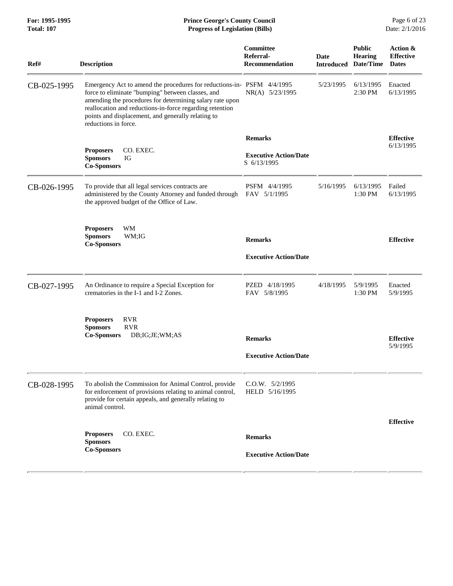| Ref#        | <b>Description</b>                                                                                                                                                                                                                                                                                                                | Committee<br>Referral-<br><b>Recommendation</b> | Date<br><b>Introduced</b> | <b>Public</b><br><b>Hearing</b><br>Date/Time | Action &<br><b>Effective</b><br><b>Dates</b> |
|-------------|-----------------------------------------------------------------------------------------------------------------------------------------------------------------------------------------------------------------------------------------------------------------------------------------------------------------------------------|-------------------------------------------------|---------------------------|----------------------------------------------|----------------------------------------------|
| CB-025-1995 | Emergency Act to amend the procedures for reductions-in- PSFM 4/4/1995<br>force to eliminate "bumping" between classes, and<br>amending the procedures for determining salary rate upon<br>reallocation and reductions-in-force regarding retention<br>points and displacement, and generally relating to<br>reductions in force. | NR(A) 5/23/1995                                 | 5/23/1995                 | 6/13/1995<br>2:30 PM                         | Enacted<br>6/13/1995                         |
|             |                                                                                                                                                                                                                                                                                                                                   | <b>Remarks</b>                                  |                           |                                              | <b>Effective</b>                             |
|             | CO. EXEC.<br><b>Proposers</b><br><b>Sponsors</b><br>IG<br><b>Co-Sponsors</b>                                                                                                                                                                                                                                                      | <b>Executive Action/Date</b><br>S 6/13/1995     |                           |                                              | 6/13/1995                                    |
| CB-026-1995 | To provide that all legal services contracts are<br>administered by the County Attorney and funded through<br>the approved budget of the Office of Law.                                                                                                                                                                           | PSFM 4/4/1995<br>FAV 5/1/1995                   | 5/16/1995                 | 6/13/1995<br>1:30 PM                         | Failed<br>6/13/1995                          |
|             | WM<br><b>Proposers</b><br><b>Sponsors</b><br>WM:IG<br><b>Co-Sponsors</b>                                                                                                                                                                                                                                                          | <b>Remarks</b><br><b>Executive Action/Date</b>  |                           |                                              | <b>Effective</b>                             |
|             |                                                                                                                                                                                                                                                                                                                                   |                                                 |                           |                                              |                                              |
| CB-027-1995 | An Ordinance to require a Special Exception for<br>crematories in the I-1 and I-2 Zones.                                                                                                                                                                                                                                          | PZED 4/18/1995<br>FAV 5/8/1995                  | 4/18/1995                 | 5/9/1995<br>1:30 PM                          | Enacted<br>5/9/1995                          |
|             | <b>RVR</b><br><b>Proposers</b><br><b>Sponsors</b><br><b>RVR</b><br>DB; IG; JE; WM; AS<br><b>Co-Sponsors</b>                                                                                                                                                                                                                       | <b>Remarks</b>                                  |                           |                                              | <b>Effective</b>                             |
|             |                                                                                                                                                                                                                                                                                                                                   | <b>Executive Action/Date</b>                    |                           |                                              | 5/9/1995                                     |
| CB-028-1995 | To abolish the Commission for Animal Control, provide<br>for enforcement of provisions relating to animal control,<br>provide for certain appeals, and generally relating to<br>animal control.                                                                                                                                   | C.O.W. 5/2/1995<br>HELD 5/16/1995               |                           |                                              |                                              |
|             |                                                                                                                                                                                                                                                                                                                                   |                                                 |                           |                                              | <b>Effective</b>                             |
|             | CO. EXEC.<br><b>Proposers</b><br><b>Sponsors</b>                                                                                                                                                                                                                                                                                  | <b>Remarks</b>                                  |                           |                                              |                                              |
|             | <b>Co-Sponsors</b>                                                                                                                                                                                                                                                                                                                | <b>Executive Action/Date</b>                    |                           |                                              |                                              |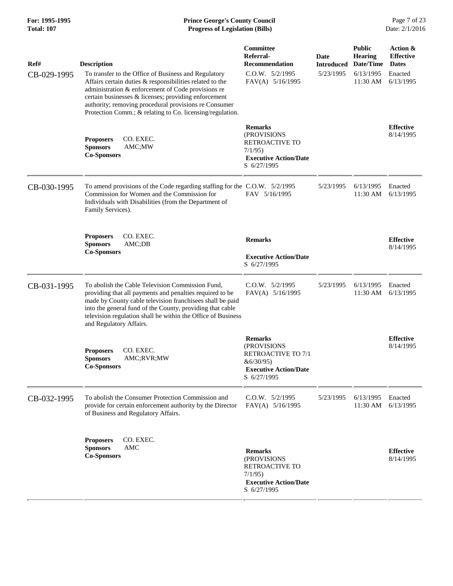| Ref#        | <b>Description</b>                                                                                                                                                                                                                                                                                                                                   | <b>Committee</b><br>Referral-<br><b>Recommendation</b>                                                         | Date<br><b>Introduced</b> | <b>Public</b><br><b>Hearing</b><br>Date/Time | Action &<br><b>Effective</b><br><b>Dates</b> |
|-------------|------------------------------------------------------------------------------------------------------------------------------------------------------------------------------------------------------------------------------------------------------------------------------------------------------------------------------------------------------|----------------------------------------------------------------------------------------------------------------|---------------------------|----------------------------------------------|----------------------------------------------|
| CB-029-1995 | To transfer to the Office of Business and Regulatory<br>Affairs certain duties & responsibilities related to the<br>administration & enforcement of Code provisions re<br>certain businesses & licenses; providing enforcement<br>authority; removing procedural provisions re Consumer<br>Protection Comm.; & relating to Co. licensing/regulation. | $C.0.W.$ $5/2/1995$<br>FAV(A) 5/16/1995                                                                        | 5/23/1995                 | 6/13/1995<br>11:30 AM                        | Enacted<br>6/13/1995                         |
|             | CO. EXEC.<br><b>Proposers</b><br><b>Sponsors</b><br>AMC;MW<br><b>Co-Sponsors</b>                                                                                                                                                                                                                                                                     | <b>Remarks</b><br>(PROVISIONS<br>RETROACTIVE TO<br>7/1/95<br><b>Executive Action/Date</b><br>S 6/27/1995       |                           |                                              | <b>Effective</b><br>8/14/1995                |
| CB-030-1995 | To amend provisions of the Code regarding staffing for the C.O.W. 5/2/1995<br>Commission for Women and the Commission for<br>Individuals with Disabilities (from the Department of<br>Family Services).                                                                                                                                              | FAV 5/16/1995                                                                                                  | 5/23/1995                 | 6/13/1995<br>11:30 AM                        | Enacted<br>6/13/1995                         |
|             | <b>Proposers</b><br>CO. EXEC.<br>AMC;DB<br><b>Sponsors</b><br><b>Co-Sponsors</b>                                                                                                                                                                                                                                                                     | <b>Remarks</b><br><b>Executive Action/Date</b><br>S 6/27/1995                                                  |                           |                                              | <b>Effective</b><br>8/14/1995                |
| CB-031-1995 | To abolish the Cable Television Commission Fund,<br>providing that all payments and penalties required to be<br>made by County cable television franchisees shall be paid<br>into the general fund of the County, providing that cable<br>television regulation shall be within the Office of Business<br>and Regulatory Affairs.                    | $C.0.W.$ $5/2/1995$<br>FAV(A) 5/16/1995                                                                        | 5/23/1995                 | 6/13/1995<br>11:30 AM                        | Enacted<br>6/13/1995                         |
|             | CO. EXEC.<br><b>Proposers</b><br><b>Sponsors</b><br>AMC;RVR;MW<br><b>Co-Sponsors</b>                                                                                                                                                                                                                                                                 | <b>Remarks</b><br>(PROVISIONS<br>RETROACTIVE TO 7/1<br>&6/30/95<br><b>Executive Action/Date</b><br>S 6/27/1995 |                           |                                              | <b>Effective</b><br>8/14/1995                |
| CB-032-1995 | To abolish the Consumer Protection Commission and<br>provide for certain enforcement authority by the Director<br>of Business and Regulatory Affairs.                                                                                                                                                                                                | C.O.W. 5/2/1995<br>FAV(A) 5/16/1995                                                                            | 5/23/1995                 | 6/13/1995<br>11:30 AM                        | Enacted<br>6/13/1995                         |
|             | CO. EXEC.<br><b>Proposers</b><br>AMC<br><b>Sponsors</b><br><b>Co-Sponsors</b>                                                                                                                                                                                                                                                                        | <b>Remarks</b><br>(PROVISIONS<br>RETROACTIVE TO<br>7/1/95<br><b>Executive Action/Date</b><br>S 6/27/1995       |                           |                                              | <b>Effective</b><br>8/14/1995                |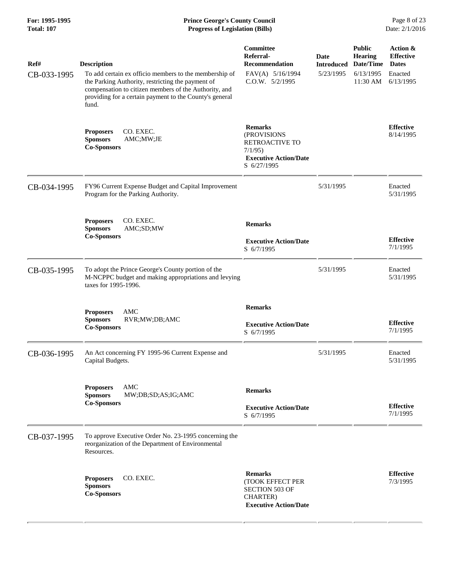| Ref#        | <b>Description</b>                                                                                                                                                                                                                       | Committee<br>Referral-<br><b>Recommendation</b>                                                                 | Date<br><b>Introduced</b> | <b>Public</b><br><b>Hearing</b><br>Date/Time | Action &<br><b>Effective</b><br><b>Dates</b> |
|-------------|------------------------------------------------------------------------------------------------------------------------------------------------------------------------------------------------------------------------------------------|-----------------------------------------------------------------------------------------------------------------|---------------------------|----------------------------------------------|----------------------------------------------|
| CB-033-1995 | To add certain ex officio members to the membership of<br>the Parking Authority, restricting the payment of<br>compensation to citizen members of the Authority, and<br>providing for a certain payment to the County's general<br>fund. | FAV(A) 5/16/1994<br>C.O.W. 5/2/1995                                                                             | 5/23/1995                 | 6/13/1995<br>11:30 AM                        | Enacted<br>6/13/1995                         |
|             | CO. EXEC.<br><b>Proposers</b><br>AMC;MW;JE<br><b>Sponsors</b><br><b>Co-Sponsors</b>                                                                                                                                                      | <b>Remarks</b><br>(PROVISIONS<br><b>RETROACTIVE TO</b><br>7/1/95<br><b>Executive Action/Date</b><br>S 6/27/1995 |                           |                                              | <b>Effective</b><br>8/14/1995                |
| CB-034-1995 | FY96 Current Expense Budget and Capital Improvement<br>Program for the Parking Authority.                                                                                                                                                |                                                                                                                 | 5/31/1995                 |                                              | Enacted<br>5/31/1995                         |
|             | CO. EXEC.<br><b>Proposers</b><br><b>Sponsors</b><br>AMC;SD;MW<br><b>Co-Sponsors</b>                                                                                                                                                      | <b>Remarks</b><br><b>Executive Action/Date</b><br>S 6/7/1995                                                    |                           |                                              | <b>Effective</b><br>7/1/1995                 |
| CB-035-1995 | To adopt the Prince George's County portion of the<br>M-NCPPC budget and making appropriations and levying<br>taxes for 1995-1996.                                                                                                       |                                                                                                                 | 5/31/1995                 |                                              | Enacted<br>5/31/1995                         |
|             | AMC<br><b>Proposers</b><br><b>Sponsors</b><br>RVR;MW;DB;AMC<br><b>Co-Sponsors</b>                                                                                                                                                        | <b>Remarks</b><br><b>Executive Action/Date</b><br>S 6/7/1995                                                    |                           |                                              | <b>Effective</b><br>7/1/1995                 |
| CB-036-1995 | An Act concerning FY 1995-96 Current Expense and<br>Capital Budgets.                                                                                                                                                                     |                                                                                                                 | 5/31/1995                 |                                              | Enacted<br>5/31/1995                         |
|             | <b>AMC</b><br><b>Proposers</b><br><b>Sponsors</b><br>MW;DB;SD;AS;IG;AMC<br><b>Co-Sponsors</b>                                                                                                                                            | <b>Remarks</b><br><b>Executive Action/Date</b><br>S 6/7/1995                                                    |                           |                                              | <b>Effective</b><br>7/1/1995                 |
| CB-037-1995 | To approve Executive Order No. 23-1995 concerning the<br>reorganization of the Department of Environmental<br>Resources.                                                                                                                 |                                                                                                                 |                           |                                              |                                              |
|             | CO. EXEC.<br><b>Proposers</b><br><b>Sponsors</b><br><b>Co-Sponsors</b>                                                                                                                                                                   | <b>Remarks</b><br>(TOOK EFFECT PER<br><b>SECTION 503 OF</b><br>CHARTER)<br><b>Executive Action/Date</b>         |                           |                                              | <b>Effective</b><br>7/3/1995                 |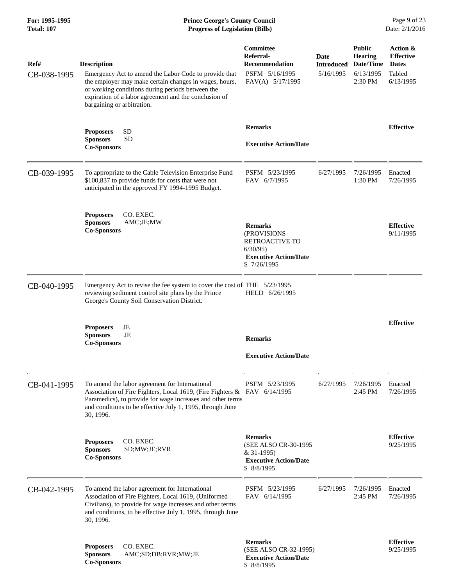| Ref#<br>CB-038-1995 | <b>Description</b><br>Emergency Act to amend the Labor Code to provide that<br>the employer may make certain changes in wages, hours,<br>or working conditions during periods between the<br>expiration of a labor agreement and the conclusion of<br>bargaining or arbitration. | <b>Committee</b><br>Referral-<br><b>Recommendation</b><br>PSFM 5/16/1995<br>FAV(A) 5/17/1995              | Date<br><b>Introduced</b><br>5/16/1995 | <b>Public</b><br>Hearing<br>Date/Time<br>6/13/1995<br>2:30 PM | Action &<br><b>Effective</b><br><b>Dates</b><br>Tabled<br>6/13/1995 |
|---------------------|----------------------------------------------------------------------------------------------------------------------------------------------------------------------------------------------------------------------------------------------------------------------------------|-----------------------------------------------------------------------------------------------------------|----------------------------------------|---------------------------------------------------------------|---------------------------------------------------------------------|
|                     | <b>SD</b><br><b>Proposers</b><br><b>SD</b><br><b>Sponsors</b><br><b>Co-Sponsors</b>                                                                                                                                                                                              | <b>Remarks</b><br><b>Executive Action/Date</b>                                                            |                                        |                                                               | <b>Effective</b>                                                    |
| CB-039-1995         | To appropriate to the Cable Television Enterprise Fund<br>\$100,837 to provide funds for costs that were not<br>anticipated in the approved FY 1994-1995 Budget.                                                                                                                 | PSFM 5/23/1995<br>FAV 6/7/1995                                                                            | 6/27/1995                              | 7/26/1995<br>1:30 PM                                          | Enacted<br>7/26/1995                                                |
|                     | CO. EXEC.<br><b>Proposers</b><br><b>Sponsors</b><br>AMC;JE;MW<br><b>Co-Sponsors</b>                                                                                                                                                                                              | <b>Remarks</b><br>(PROVISIONS<br>RETROACTIVE TO<br>6/30/95<br><b>Executive Action/Date</b><br>S 7/26/1995 |                                        |                                                               | <b>Effective</b><br>9/11/1995                                       |
| CB-040-1995         | Emergency Act to revise the fee system to cover the cost of THE 5/23/1995<br>reviewing sediment control site plans by the Prince<br>George's County Soil Conservation District.                                                                                                  | HELD 6/26/1995                                                                                            |                                        |                                                               |                                                                     |
|                     | JE<br><b>Proposers</b><br><b>Sponsors</b><br>JE<br><b>Co-Sponsors</b>                                                                                                                                                                                                            | <b>Remarks</b><br><b>Executive Action/Date</b>                                                            |                                        |                                                               | <b>Effective</b>                                                    |
| CB-041-1995         | To amend the labor agreement for International<br>Association of Fire Fighters, Local 1619, (Fire Fighters & FAV 6/14/1995<br>Paramedics), to provide for wage increases and other terms<br>and conditions to be effective July 1, 1995, through June<br>30, 1996.               | PSFM 5/23/1995                                                                                            | 6/27/1995                              | 7/26/1995<br>2:45 PM                                          | Enacted<br>7/26/1995                                                |
|                     | CO. EXEC.<br><b>Proposers</b><br><b>Sponsors</b><br>SD;MW;JE;RVR<br><b>Co-Sponsors</b>                                                                                                                                                                                           | <b>Remarks</b><br>(SEE ALSO CR-30-1995<br>$& 31-1995)$<br><b>Executive Action/Date</b><br>S 8/8/1995      |                                        |                                                               | <b>Effective</b><br>9/25/1995                                       |
| CB-042-1995         | To amend the labor agreement for International<br>Association of Fire Fighters, Local 1619, (Uniformed<br>Civilians), to provide for wage increases and other terms<br>and conditions, to be effective July 1, 1995, through June<br>30, 1996.                                   | PSFM 5/23/1995<br>FAV 6/14/1995                                                                           | 6/27/1995                              | 7/26/1995<br>2:45 PM                                          | Enacted<br>7/26/1995                                                |
|                     | CO. EXEC.<br><b>Proposers</b><br>AMC;SD;DB;RVR;MW;JE<br><b>Sponsors</b><br><b>Co-Sponsors</b>                                                                                                                                                                                    | <b>Remarks</b><br>(SEE ALSO CR-32-1995)<br><b>Executive Action/Date</b><br>S 8/8/1995                     |                                        |                                                               | <b>Effective</b><br>9/25/1995                                       |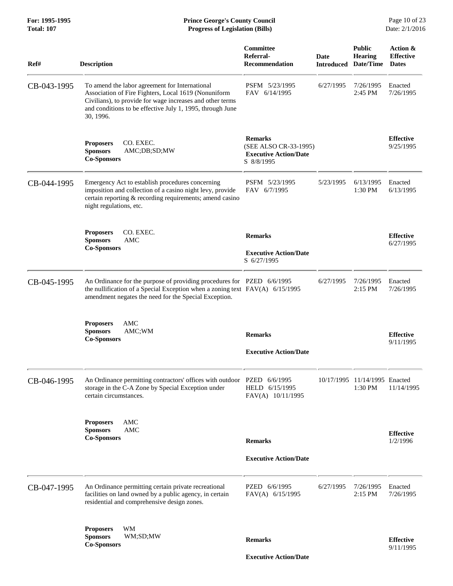| Ref#        | <b>Description</b>                                                                                                                                                                                                                            | Committee<br>Referral-<br><b>Recommendation</b>                                       | <b>Date</b><br><b>Introduced</b> | <b>Public</b><br><b>Hearing</b><br>Date/Time | Action &<br><b>Effective</b><br><b>Dates</b> |
|-------------|-----------------------------------------------------------------------------------------------------------------------------------------------------------------------------------------------------------------------------------------------|---------------------------------------------------------------------------------------|----------------------------------|----------------------------------------------|----------------------------------------------|
| CB-043-1995 | To amend the labor agreement for International<br>Association of Fire Fighters, Local 1619 (Nonuniform<br>Civilians), to provide for wage increases and other terms<br>and conditions to be effective July 1, 1995, through June<br>30, 1996. | PSFM 5/23/1995<br>FAV 6/14/1995                                                       | 6/27/1995                        | 7/26/1995<br>2:45 PM                         | Enacted<br>7/26/1995                         |
|             | <b>Proposers</b><br>CO. EXEC.<br>AMC;DB;SD;MW<br><b>Sponsors</b><br><b>Co-Sponsors</b>                                                                                                                                                        | <b>Remarks</b><br>(SEE ALSO CR-33-1995)<br><b>Executive Action/Date</b><br>S 8/8/1995 |                                  |                                              | <b>Effective</b><br>9/25/1995                |
| CB-044-1995 | Emergency Act to establish procedures concerning<br>imposition and collection of a casino night levy, provide<br>certain reporting & recording requirements; amend casino<br>night regulations, etc.                                          | PSFM 5/23/1995<br>FAV 6/7/1995                                                        | 5/23/1995                        | 6/13/1995<br>1:30 PM                         | Enacted<br>6/13/1995                         |
|             | CO. EXEC.<br><b>Proposers</b><br><b>Sponsors</b><br>AMC                                                                                                                                                                                       | <b>Remarks</b>                                                                        |                                  |                                              | <b>Effective</b>                             |
|             | <b>Co-Sponsors</b>                                                                                                                                                                                                                            | <b>Executive Action/Date</b><br>S 6/27/1995                                           |                                  |                                              | 6/27/1995                                    |
| CB-045-1995 | An Ordinance for the purpose of providing procedures for PZED 6/6/1995<br>the nullification of a Special Exception when a zoning text $FAV(A)$ 6/15/1995<br>amendment negates the need for the Special Exception.                             |                                                                                       | 6/27/1995                        | 7/26/1995<br>2:15 PM                         | Enacted<br>7/26/1995                         |
|             | AMC<br><b>Proposers</b><br><b>Sponsors</b><br>AMC;WM<br><b>Co-Sponsors</b>                                                                                                                                                                    | <b>Remarks</b><br><b>Executive Action/Date</b>                                        |                                  |                                              | <b>Effective</b><br>9/11/1995                |
| CB-046-1995 | An Ordinance permitting contractors' offices with outdoor PZED 6/6/1995<br>storage in the C-A Zone by Special Exception under<br>certain circumstances.                                                                                       | HELD 6/15/1995<br>FAV(A) 10/11/1995                                                   |                                  | 10/17/1995 11/14/1995 Enacted<br>1:30 PM     | 11/14/1995                                   |
|             | <b>Proposers</b><br>AMC<br>AMC<br><b>Sponsors</b><br><b>Co-Sponsors</b>                                                                                                                                                                       | <b>Remarks</b>                                                                        |                                  |                                              | <b>Effective</b><br>1/2/1996                 |
|             |                                                                                                                                                                                                                                               | <b>Executive Action/Date</b>                                                          |                                  |                                              |                                              |
| CB-047-1995 | An Ordinance permitting certain private recreational<br>facilities on land owned by a public agency, in certain<br>residential and comprehensive design zones.                                                                                | PZED 6/6/1995<br>FAV(A) 6/15/1995                                                     | 6/27/1995                        | 7/26/1995<br>$2:15$ PM                       | Enacted<br>7/26/1995                         |
|             | <b>Proposers</b><br>WМ<br><b>Sponsors</b><br>WM;SD;MW<br><b>Co-Sponsors</b>                                                                                                                                                                   | <b>Remarks</b><br><b>Executive Action/Date</b>                                        |                                  |                                              | <b>Effective</b><br>9/11/1995                |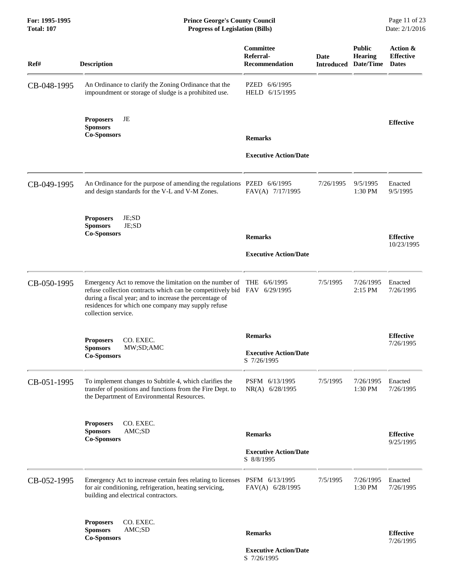## **For: 1995-1995 Prince George's County Council** Page 11 of 23<br> **Prince George's County Council** Page 11 of 23<br> **Progress of Legislation (Bills)** Date: 2/1/2016 **Total: 107 Progress of Legislation (Bills)**

| Ref#        | <b>Description</b>                                                                                                                                                                                                                                                          | Committee<br>Referral-<br><b>Recommendation</b> | Date<br><b>Introduced</b> | <b>Public</b><br><b>Hearing</b><br>Date/Time | Action &<br><b>Effective</b><br><b>Dates</b> |
|-------------|-----------------------------------------------------------------------------------------------------------------------------------------------------------------------------------------------------------------------------------------------------------------------------|-------------------------------------------------|---------------------------|----------------------------------------------|----------------------------------------------|
| CB-048-1995 | An Ordinance to clarify the Zoning Ordinance that the<br>impoundment or storage of sludge is a prohibited use.                                                                                                                                                              | PZED<br>6/6/1995<br>HELD 6/15/1995              |                           |                                              |                                              |
|             | JE<br><b>Proposers</b><br><b>Sponsors</b><br><b>Co-Sponsors</b>                                                                                                                                                                                                             | <b>Remarks</b>                                  |                           |                                              | <b>Effective</b>                             |
|             |                                                                                                                                                                                                                                                                             | <b>Executive Action/Date</b>                    |                           |                                              |                                              |
| CB-049-1995 | An Ordinance for the purpose of amending the regulations PZED 6/6/1995<br>and design standards for the V-L and V-M Zones.                                                                                                                                                   | FAV(A) 7/17/1995                                | 7/26/1995                 | 9/5/1995<br>1:30 PM                          | Enacted<br>9/5/1995                          |
|             | JE;SD<br><b>Proposers</b><br>JE;SD<br><b>Sponsors</b><br><b>Co-Sponsors</b>                                                                                                                                                                                                 | <b>Remarks</b>                                  |                           |                                              | <b>Effective</b>                             |
|             |                                                                                                                                                                                                                                                                             | <b>Executive Action/Date</b>                    |                           |                                              | 10/23/1995                                   |
| CB-050-1995 | Emergency Act to remove the limitation on the number of<br>refuse collection contracts which can be competitively bid FAV 6/29/1995<br>during a fiscal year; and to increase the percentage of<br>residences for which one company may supply refuse<br>collection service. | THE 6/6/1995                                    | 7/5/1995                  | 7/26/1995<br>2:15 PM                         | Enacted<br>7/26/1995                         |
|             | CO. EXEC.<br><b>Proposers</b>                                                                                                                                                                                                                                               | <b>Remarks</b>                                  |                           |                                              | <b>Effective</b><br>7/26/1995                |
|             | <b>Sponsors</b><br>MW;SD;AMC<br><b>Co-Sponsors</b>                                                                                                                                                                                                                          | <b>Executive Action/Date</b><br>S 7/26/1995     |                           |                                              |                                              |
| CB-051-1995 | To implement changes to Subtitle 4, which clarifies the<br>transfer of positions and functions from the Fire Dept. to<br>the Department of Environmental Resources.                                                                                                         | PSFM 6/13/1995<br>NR(A) 6/28/1995               | 7/5/1995                  | 7/26/1995<br>1:30 PM                         | Enacted<br>7/26/1995                         |
|             | CO. EXEC.<br><b>Proposers</b><br><b>Sponsors</b><br>AMC;SD<br><b>Co-Sponsors</b>                                                                                                                                                                                            | <b>Remarks</b>                                  |                           |                                              | <b>Effective</b><br>9/25/1995                |
|             |                                                                                                                                                                                                                                                                             | <b>Executive Action/Date</b><br>S 8/8/1995      |                           |                                              |                                              |
| CB-052-1995 | Emergency Act to increase certain fees relating to licenses<br>for air conditioning, refrigeration, heating servicing,<br>building and electrical contractors.                                                                                                              | PSFM 6/13/1995<br>FAV(A) 6/28/1995              | 7/5/1995                  | 7/26/1995<br>1:30 PM                         | Enacted<br>7/26/1995                         |
|             | CO. EXEC.<br><b>Proposers</b><br><b>Sponsors</b><br>AMC;SD<br><b>Co-Sponsors</b>                                                                                                                                                                                            | <b>Remarks</b>                                  |                           |                                              | <b>Effective</b><br>7/26/1995                |

 **Executive Action/Date** S 7/26/1995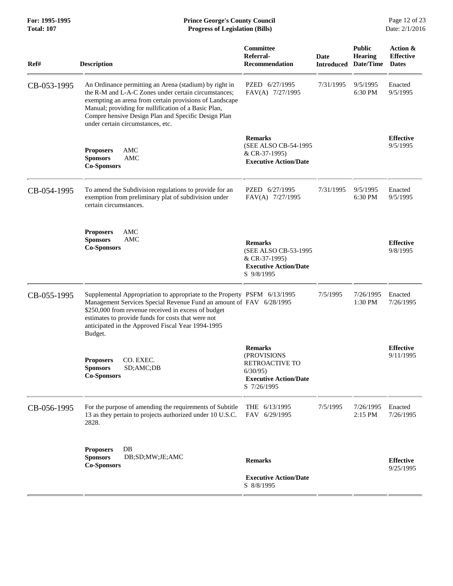| Ref#        | <b>Description</b>                                                                                                                                                                                                                                                                                                            | Committee<br>Referral-<br><b>Recommendation</b>                                                                  | Date<br><b>Introduced</b> | <b>Public</b><br><b>Hearing</b><br>Date/Time | Action &<br><b>Effective</b><br><b>Dates</b> |
|-------------|-------------------------------------------------------------------------------------------------------------------------------------------------------------------------------------------------------------------------------------------------------------------------------------------------------------------------------|------------------------------------------------------------------------------------------------------------------|---------------------------|----------------------------------------------|----------------------------------------------|
| CB-053-1995 | An Ordinance permitting an Arena (stadium) by right in<br>the R-M and L-A-C Zones under certain circumstances;<br>exempting an arena from certain provisions of Landscape<br>Manual; providing for nullification of a Basic Plan,<br>Compre hensive Design Plan and Specific Design Plan<br>under certain circumstances, etc. | PZED 6/27/1995<br>FAV(A) 7/27/1995                                                                               | 7/31/1995                 | 9/5/1995<br>6:30 PM                          | Enacted<br>9/5/1995                          |
|             | AMC<br><b>Proposers</b><br><b>Sponsors</b><br>AMC<br><b>Co-Sponsors</b>                                                                                                                                                                                                                                                       | <b>Remarks</b><br>(SEE ALSO CB-54-1995<br>& CR-37-1995)<br><b>Executive Action/Date</b>                          |                           |                                              | <b>Effective</b><br>9/5/1995                 |
| CB-054-1995 | To amend the Subdivision regulations to provide for an<br>exemption from preliminary plat of subdivision under<br>certain circumstances.                                                                                                                                                                                      | PZED 6/27/1995<br>FAV(A) 7/27/1995                                                                               | 7/31/1995                 | 9/5/1995<br>6:30 PM                          | Enacted<br>9/5/1995                          |
|             | <b>Proposers</b><br>AMC<br><b>Sponsors</b><br>AMC<br><b>Co-Sponsors</b>                                                                                                                                                                                                                                                       | <b>Remarks</b><br>(SEE ALSO CB-53-1995<br>& CR-37-1995)<br><b>Executive Action/Date</b><br>S 9/8/1995            |                           |                                              | <b>Effective</b><br>9/8/1995                 |
| CB-055-1995 | Supplemental Appropriation to appropriate to the Property PSFM 6/13/1995<br>Management Services Special Revenue Fund an amount of FAV 6/28/1995<br>\$250,000 from revenue received in excess of budget<br>estimates to provide funds for costs that were not<br>anticipated in the Approved Fiscal Year 1994-1995<br>Budget.  |                                                                                                                  | 7/5/1995                  | 7/26/1995<br>1:30 PM                         | Enacted<br>7/26/1995                         |
|             | CO. EXEC.<br><b>Proposers</b><br>SD;AMC;DB<br><b>Sponsors</b><br><b>Co-Sponsors</b>                                                                                                                                                                                                                                           | <b>Remarks</b><br>(PROVISIONS<br><b>RETROACTIVE TO</b><br>6/30/95<br><b>Executive Action/Date</b><br>S 7/26/1995 |                           |                                              | <b>Effective</b><br>9/11/1995                |
| CB-056-1995 | For the purpose of amending the requirements of Subtitle<br>13 as they pertain to projects authorized under 10 U.S.C.<br>2828.                                                                                                                                                                                                | THE 6/13/1995<br>FAV 6/29/1995                                                                                   | 7/5/1995                  | 7/26/1995<br>2:15 PM                         | Enacted<br>7/26/1995                         |
|             | $DB$<br><b>Proposers</b><br><b>Sponsors</b><br>DB;SD;MW;JE;AMC<br><b>Co-Sponsors</b>                                                                                                                                                                                                                                          | <b>Remarks</b><br><b>Executive Action/Date</b><br>S 8/8/1995                                                     |                           |                                              | <b>Effective</b><br>9/25/1995                |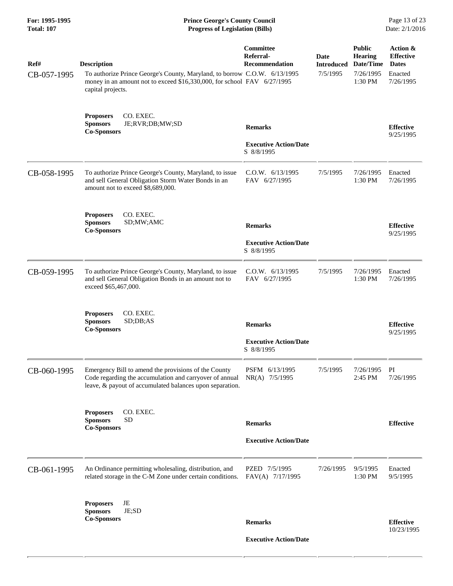| For: 1995-1995<br><b>Total: 107</b> | <b>Prince George's County Council</b><br><b>Progress of Legislation (Bills)</b><br>Date: 2/1/2016                                                                                               |                                                              |                                       |                                                                      |                                                                      |
|-------------------------------------|-------------------------------------------------------------------------------------------------------------------------------------------------------------------------------------------------|--------------------------------------------------------------|---------------------------------------|----------------------------------------------------------------------|----------------------------------------------------------------------|
| Ref#<br>CB-057-1995                 | <b>Description</b><br>To authorize Prince George's County, Maryland, to borrow C.O.W. 6/13/1995<br>money in an amount not to exceed \$16,330,000, for school FAV 6/27/1995<br>capital projects. | Committee<br>Referral-<br>Recommendation                     | Date<br><b>Introduced</b><br>7/5/1995 | <b>Public</b><br><b>Hearing</b><br>Date/Time<br>7/26/1995<br>1:30 PM | Action &<br><b>Effective</b><br><b>Dates</b><br>Enacted<br>7/26/1995 |
|                                     | <b>Proposers</b><br>CO. EXEC.<br><b>Sponsors</b><br>JE;RVR;DB;MW;SD<br><b>Co-Sponsors</b>                                                                                                       | <b>Remarks</b><br><b>Executive Action/Date</b><br>S 8/8/1995 |                                       |                                                                      | <b>Effective</b><br>9/25/1995                                        |
| CB-058-1995                         | To authorize Prince George's County, Maryland, to issue<br>and sell General Obligation Storm Water Bonds in an<br>amount not to exceed \$8,689,000.                                             | C.0.W. 6/13/1995<br>FAV 6/27/1995                            | 7/5/1995                              | 7/26/1995<br>1:30 PM                                                 | Enacted<br>7/26/1995                                                 |
|                                     | CO. EXEC.<br><b>Proposers</b><br><b>Sponsors</b><br>SD;MW;AMC<br><b>Co-Sponsors</b>                                                                                                             | <b>Remarks</b><br><b>Executive Action/Date</b><br>S 8/8/1995 |                                       |                                                                      | <b>Effective</b><br>9/25/1995                                        |
| CB-059-1995                         | To authorize Prince George's County, Maryland, to issue<br>and sell General Obligation Bonds in an amount not to<br>exceed \$65,467,000.                                                        | C.O.W. 6/13/1995<br>FAV 6/27/1995                            | 7/5/1995                              | 7/26/1995<br>1:30 PM                                                 | Enacted<br>7/26/1995                                                 |
|                                     | CO. EXEC.<br><b>Proposers</b><br><b>Sponsors</b><br>SD;DB; AS<br><b>Co-Sponsors</b>                                                                                                             | <b>Remarks</b><br><b>Executive Action/Date</b><br>S 8/8/1995 |                                       |                                                                      | <b>Effective</b><br>9/25/1995                                        |
| CB-060-1995                         | Emergency Bill to amend the provisions of the County<br>Code regarding the accumulation and carryover of annual<br>leave, & payout of accumulated balances upon separation.                     | PSFM 6/13/1995<br>NR(A) 7/5/1995                             | 7/5/1995                              | 7/26/1995<br>2:45 PM                                                 | PI<br>7/26/1995                                                      |
|                                     | CO. EXEC.<br><b>Proposers</b><br><b>Sponsors</b><br><b>SD</b><br><b>Co-Sponsors</b>                                                                                                             | <b>Remarks</b><br><b>Executive Action/Date</b>               |                                       |                                                                      | <b>Effective</b>                                                     |
| CB-061-1995                         | An Ordinance permitting wholesaling, distribution, and<br>related storage in the C-M Zone under certain conditions.                                                                             | PZED 7/5/1995<br>FAV(A) 7/17/1995                            | 7/26/1995                             | 9/5/1995<br>1:30 PM                                                  | Enacted<br>9/5/1995                                                  |
|                                     | JE<br><b>Proposers</b><br><b>Sponsors</b><br>JE;SD<br><b>Co-Sponsors</b>                                                                                                                        | <b>Remarks</b><br><b>Executive Action/Date</b>               |                                       |                                                                      | <b>Effective</b><br>10/23/1995                                       |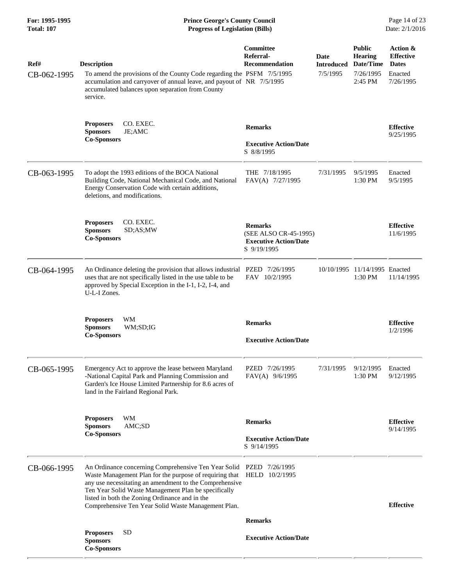| For: 1995-1995<br><b>Total: 107</b> | <b>Prince George's County Council</b><br>Page 14 of 23<br><b>Progress of Legislation (Bills)</b><br>Date: 2/1/2016                                                                                                                                                                                                                                         |                                                                                        |                                       |                                                                      |                                                                      |
|-------------------------------------|------------------------------------------------------------------------------------------------------------------------------------------------------------------------------------------------------------------------------------------------------------------------------------------------------------------------------------------------------------|----------------------------------------------------------------------------------------|---------------------------------------|----------------------------------------------------------------------|----------------------------------------------------------------------|
| Ref#<br>CB-062-1995                 | <b>Description</b><br>To amend the provisions of the County Code regarding the PSFM 7/5/1995<br>accumulation and carryover of annual leave, and payout of NR 7/5/1995<br>accumulated balances upon separation from County<br>service.                                                                                                                      | <b>Committee</b><br>Referral-<br><b>Recommendation</b>                                 | Date<br><b>Introduced</b><br>7/5/1995 | <b>Public</b><br><b>Hearing</b><br>Date/Time<br>7/26/1995<br>2:45 PM | Action &<br><b>Effective</b><br><b>Dates</b><br>Enacted<br>7/26/1995 |
|                                     | CO. EXEC.<br><b>Proposers</b><br><b>Sponsors</b><br>JE;AMC<br><b>Co-Sponsors</b>                                                                                                                                                                                                                                                                           | <b>Remarks</b><br><b>Executive Action/Date</b><br>S 8/8/1995                           |                                       |                                                                      | <b>Effective</b><br>9/25/1995                                        |
| CB-063-1995                         | To adopt the 1993 editions of the BOCA National<br>Building Code, National Mechanical Code, and National<br>Energy Conservation Code with certain additions,<br>deletions, and modifications.                                                                                                                                                              | THE 7/18/1995<br>FAV(A) 7/27/1995                                                      | 7/31/1995                             | 9/5/1995<br>1:30 PM                                                  | Enacted<br>9/5/1995                                                  |
|                                     | <b>Proposers</b><br>CO. EXEC.<br><b>Sponsors</b><br>SD;AS;MW<br><b>Co-Sponsors</b>                                                                                                                                                                                                                                                                         | <b>Remarks</b><br>(SEE ALSO CR-45-1995)<br><b>Executive Action/Date</b><br>S 9/19/1995 |                                       |                                                                      | <b>Effective</b><br>11/6/1995                                        |
| CB-064-1995                         | An Ordinance deleting the provision that allows industrial PZED 7/26/1995<br>uses that are not specifically listed in the use table to be<br>approved by Special Exception in the I-1, I-2, I-4, and<br>U-L-I Zones.                                                                                                                                       | FAV 10/2/1995                                                                          |                                       | 10/10/1995 11/14/1995 Enacted<br>1:30 PM                             | 11/14/1995                                                           |
|                                     | WM<br><b>Proposers</b><br><b>Sponsors</b><br>WM;SD;IG<br><b>Co-Sponsors</b>                                                                                                                                                                                                                                                                                | <b>Remarks</b><br><b>Executive Action/Date</b>                                         |                                       |                                                                      | <b>Effective</b><br>1/2/1996                                         |
| CB-065-1995                         | Emergency Act to approve the lease between Maryland<br>-National Capital Park and Planning Commission and<br>Garden's Ice House Limited Partnership for 8.6 acres of<br>land in the Fairland Regional Park.                                                                                                                                                | PZED 7/26/1995<br>FAV(A) 9/6/1995                                                      | 7/31/1995                             | 9/12/1995<br>1:30 PM                                                 | Enacted<br>9/12/1995                                                 |
|                                     | <b>Proposers</b><br>WM<br><b>Sponsors</b><br>AMC;SD<br><b>Co-Sponsors</b>                                                                                                                                                                                                                                                                                  | <b>Remarks</b><br><b>Executive Action/Date</b><br>S 9/14/1995                          |                                       |                                                                      | <b>Effective</b><br>9/14/1995                                        |
| CB-066-1995                         | An Ordinance concerning Comprehensive Ten Year Solid PZED 7/26/1995<br>Waste Management Plan for the purpose of requiring that<br>any use necessitating an amendment to the Comprehensive<br>Ten Year Solid Waste Management Plan be specifically<br>listed in both the Zoning Ordinance and in the<br>Comprehensive Ten Year Solid Waste Management Plan. | HELD 10/2/1995                                                                         |                                       |                                                                      | <b>Effective</b>                                                     |
|                                     | <b>SD</b><br><b>Proposers</b><br><b>Sponsors</b><br><b>Co-Sponsors</b>                                                                                                                                                                                                                                                                                     | <b>Remarks</b><br><b>Executive Action/Date</b>                                         |                                       |                                                                      |                                                                      |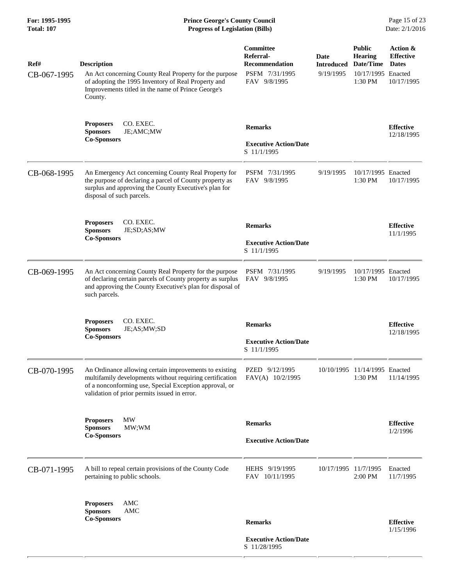| Ref#<br>CB-067-1995 | <b>Description</b><br>An Act concerning County Real Property for the purpose<br>of adopting the 1995 Inventory of Real Property and<br>Improvements titled in the name of Prince George's<br>County.                         | Committee<br>Referral-<br><b>Recommendation</b><br>PSFM 7/31/1995<br>FAV 9/8/1995 | Date<br><b>Introduced</b><br>9/19/1995 | <b>Public</b><br>Hearing<br>Date/Time<br>10/17/1995 Enacted<br>1:30 PM | Action &<br><b>Effective</b><br><b>Dates</b><br>10/17/1995 |
|---------------------|------------------------------------------------------------------------------------------------------------------------------------------------------------------------------------------------------------------------------|-----------------------------------------------------------------------------------|----------------------------------------|------------------------------------------------------------------------|------------------------------------------------------------|
|                     | CO. EXEC.<br><b>Proposers</b><br><b>Sponsors</b><br>JE;AMC;MW<br><b>Co-Sponsors</b>                                                                                                                                          | <b>Remarks</b><br><b>Executive Action/Date</b><br>S 11/1/1995                     |                                        |                                                                        | <b>Effective</b><br>12/18/1995                             |
| CB-068-1995         | An Emergency Act concerning County Real Property for<br>the purpose of declaring a parcel of County property as<br>surplus and approving the County Executive's plan for<br>disposal of such parcels.                        | PSFM 7/31/1995<br>FAV 9/8/1995                                                    | 9/19/1995                              | 10/17/1995 Enacted<br>1:30 PM                                          | 10/17/1995                                                 |
|                     | CO. EXEC.<br><b>Proposers</b><br><b>Sponsors</b><br>JE;SD;AS;MW<br><b>Co-Sponsors</b>                                                                                                                                        | <b>Remarks</b><br><b>Executive Action/Date</b><br>S 11/1/1995                     |                                        |                                                                        | <b>Effective</b><br>11/1/1995                              |
| CB-069-1995         | An Act concerning County Real Property for the purpose<br>of declaring certain parcels of County property as surplus<br>and approving the County Executive's plan for disposal of<br>such parcels.                           | PSFM 7/31/1995<br>FAV 9/8/1995                                                    | 9/19/1995                              | 10/17/1995 Enacted<br>1:30 PM                                          | 10/17/1995                                                 |
|                     | CO. EXEC.<br><b>Proposers</b><br><b>Sponsors</b><br>JE;AS;MW;SD<br><b>Co-Sponsors</b>                                                                                                                                        | <b>Remarks</b><br><b>Executive Action/Date</b><br>S 11/1/1995                     |                                        |                                                                        | <b>Effective</b><br>12/18/1995                             |
| CB-070-1995         | An Ordinance allowing certain improvements to existing<br>multifamily developments without requiring certification<br>of a nonconforming use, Special Exception approval, or<br>validation of prior permits issued in error. | PZED 9/12/1995<br>FAV(A) 10/2/1995                                                |                                        | 10/10/1995 11/14/1995 Enacted<br>1:30 PM                               | 11/14/1995                                                 |
|                     | <b>MW</b><br><b>Proposers</b><br><b>Sponsors</b><br>MW;WM<br><b>Co-Sponsors</b>                                                                                                                                              | <b>Remarks</b><br><b>Executive Action/Date</b>                                    |                                        |                                                                        | <b>Effective</b><br>1/2/1996                               |
| CB-071-1995         | A bill to repeal certain provisions of the County Code<br>pertaining to public schools.                                                                                                                                      | HEHS 9/19/1995<br>FAV 10/11/1995                                                  | 10/17/1995 11/7/1995                   | 2:00 PM                                                                | Enacted<br>11/7/1995                                       |
|                     | AMC<br><b>Proposers</b><br><b>Sponsors</b><br><b>AMC</b><br><b>Co-Sponsors</b>                                                                                                                                               | <b>Remarks</b>                                                                    |                                        |                                                                        | <b>Effective</b><br>1/15/1996                              |
|                     |                                                                                                                                                                                                                              | <b>Executive Action/Date</b><br>S 11/28/1995                                      |                                        |                                                                        |                                                            |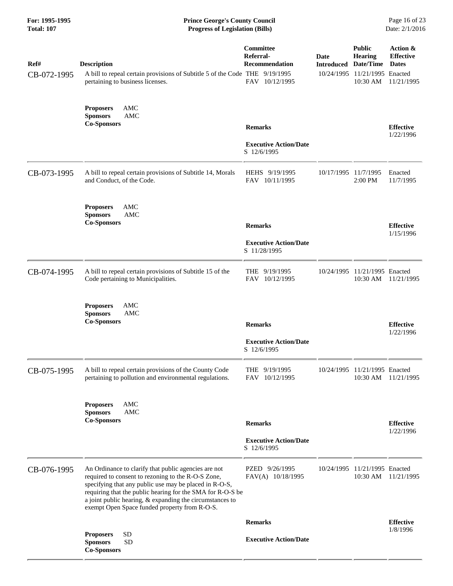| For: 1995-1995<br><b>Total: 107</b> | <b>Prince George's County Council</b><br><b>Progress of Legislation (Bills)</b>                                                                                                                                                                                                                                                                 |                                                                   |                                            |                                                                              | Page 16 of 23<br>Date: 2/1/2016                            |
|-------------------------------------|-------------------------------------------------------------------------------------------------------------------------------------------------------------------------------------------------------------------------------------------------------------------------------------------------------------------------------------------------|-------------------------------------------------------------------|--------------------------------------------|------------------------------------------------------------------------------|------------------------------------------------------------|
| Ref#<br>CB-072-1995                 | <b>Description</b><br>A bill to repeal certain provisions of Subtitle 5 of the Code THE 9/19/1995<br>pertaining to business licenses.                                                                                                                                                                                                           | Committee<br>Referral-<br><b>Recommendation</b><br>FAV 10/12/1995 | <b>Date</b><br><b>Introduced Date/Time</b> | <b>Public</b><br><b>Hearing</b><br>10/24/1995 11/21/1995 Enacted<br>10:30 AM | Action &<br><b>Effective</b><br><b>Dates</b><br>11/21/1995 |
|                                     | AMC<br><b>Proposers</b><br><b>Sponsors</b><br>AMC<br><b>Co-Sponsors</b>                                                                                                                                                                                                                                                                         | <b>Remarks</b><br><b>Executive Action/Date</b><br>S 12/6/1995     |                                            |                                                                              | <b>Effective</b><br>1/22/1996                              |
| CB-073-1995                         | A bill to repeal certain provisions of Subtitle 14, Morals<br>and Conduct, of the Code.                                                                                                                                                                                                                                                         | HEHS 9/19/1995<br>FAV 10/11/1995                                  | 10/17/1995 11/7/1995                       | $2:00$ PM                                                                    | Enacted<br>11/7/1995                                       |
|                                     | <b>AMC</b><br><b>Proposers</b><br><b>AMC</b><br><b>Sponsors</b><br><b>Co-Sponsors</b>                                                                                                                                                                                                                                                           | <b>Remarks</b><br><b>Executive Action/Date</b><br>S 11/28/1995    |                                            |                                                                              | <b>Effective</b><br>1/15/1996                              |
| CB-074-1995                         | A bill to repeal certain provisions of Subtitle 15 of the<br>Code pertaining to Municipalities.                                                                                                                                                                                                                                                 | THE 9/19/1995<br>FAV 10/12/1995                                   |                                            | 10/24/1995 11/21/1995 Enacted<br>10:30 AM                                    | 11/21/1995                                                 |
|                                     | AMC<br><b>Proposers</b><br><b>Sponsors</b><br>AMC<br><b>Co-Sponsors</b>                                                                                                                                                                                                                                                                         | <b>Remarks</b><br><b>Executive Action/Date</b><br>S 12/6/1995     |                                            |                                                                              | <b>Effective</b><br>1/22/1996                              |
| CB-075-1995                         | A bill to repeal certain provisions of the County Code<br>pertaining to pollution and environmental regulations.                                                                                                                                                                                                                                | THE $9/19/1995$<br>FAV 10/12/1995                                 |                                            | 10/24/1995 11/21/1995 Enacted<br>10:30 AM                                    | 11/21/1995                                                 |
|                                     | AMC<br><b>Proposers</b><br><b>Sponsors</b><br>AMC<br><b>Co-Sponsors</b>                                                                                                                                                                                                                                                                         | <b>Remarks</b><br><b>Executive Action/Date</b><br>S 12/6/1995     |                                            |                                                                              | <b>Effective</b><br>1/22/1996                              |
| CB-076-1995                         | An Ordinance to clarify that public agencies are not<br>required to consent to rezoning to the R-O-S Zone,<br>specifying that any public use may be placed in R-O-S,<br>requiring that the public hearing for the SMA for R-O-S be<br>a joint public hearing, & expanding the circumstances to<br>exempt Open Space funded property from R-O-S. | PZED 9/26/1995<br>FAV(A) 10/18/1995                               |                                            | 10/24/1995 11/21/1995 Enacted<br>10:30 AM                                    | 11/21/1995                                                 |
|                                     |                                                                                                                                                                                                                                                                                                                                                 | <b>Remarks</b>                                                    |                                            |                                                                              | <b>Effective</b><br>1/8/1996                               |
|                                     | ${\rm SD}$<br><b>Proposers</b><br><b>Sponsors</b><br><b>SD</b><br><b>Co-Sponsors</b>                                                                                                                                                                                                                                                            | <b>Executive Action/Date</b>                                      |                                            |                                                                              |                                                            |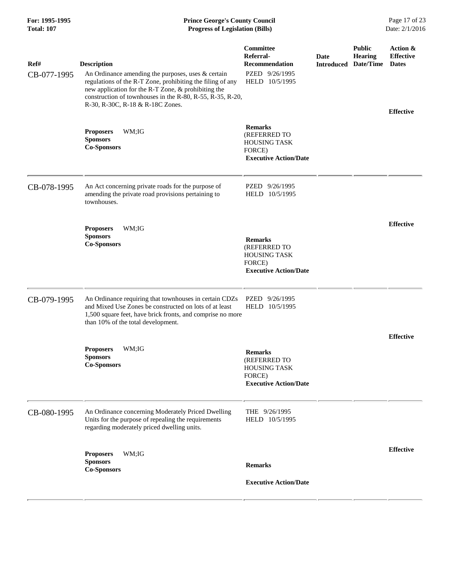## **For: 1995-1995 Prince George's County Council** Page 17 of 23<br> **Prince George's County Council** Page 17 of 23<br> **Progress of Legislation (Bills)** Date: 2/1/2016 **Total: 107 Progress of Legislation (Bills)**

| Ref#<br>CB-077-1995 | <b>Description</b><br>An Ordinance amending the purposes, uses & certain<br>regulations of the R-T Zone, prohibiting the filing of any<br>new application for the R-T Zone, & prohibiting the<br>construction of townhouses in the R-80, R-55, R-35, R-20,<br>R-30, R-30C, R-18 & R-18C Zones. | Committee<br>Referral-<br><b>Recommendation</b><br>PZED 9/26/1995<br>HELD 10/5/1995             | Date<br><b>Introduced</b> | <b>Public</b><br><b>Hearing</b><br>Date/Time | Action &<br><b>Effective</b><br><b>Dates</b> |
|---------------------|------------------------------------------------------------------------------------------------------------------------------------------------------------------------------------------------------------------------------------------------------------------------------------------------|-------------------------------------------------------------------------------------------------|---------------------------|----------------------------------------------|----------------------------------------------|
|                     | <b>Proposers</b><br>WM;IG<br><b>Sponsors</b><br><b>Co-Sponsors</b>                                                                                                                                                                                                                             | <b>Remarks</b><br>(REFERRED TO<br><b>HOUSING TASK</b><br>FORCE)<br><b>Executive Action/Date</b> |                           |                                              | <b>Effective</b>                             |
| CB-078-1995         | An Act concerning private roads for the purpose of<br>amending the private road provisions pertaining to<br>townhouses.                                                                                                                                                                        | PZED 9/26/1995<br>HELD 10/5/1995                                                                |                           |                                              |                                              |
|                     | WM;IG<br><b>Proposers</b><br><b>Sponsors</b><br><b>Co-Sponsors</b>                                                                                                                                                                                                                             | <b>Remarks</b><br>(REFERRED TO<br><b>HOUSING TASK</b><br>FORCE)<br><b>Executive Action/Date</b> |                           |                                              | <b>Effective</b>                             |
| CB-079-1995         | An Ordinance requiring that townhouses in certain CDZs<br>and Mixed Use Zones be constructed on lots of at least<br>1,500 square feet, have brick fronts, and comprise no more<br>than 10% of the total development.                                                                           | PZED 9/26/1995<br>HELD 10/5/1995                                                                |                           |                                              |                                              |
|                     | <b>Proposers</b><br>WM;IG<br><b>Sponsors</b><br><b>Co-Sponsors</b>                                                                                                                                                                                                                             | <b>Remarks</b><br>(REFERRED TO<br><b>HOUSING TASK</b><br>FORCE)<br><b>Executive Action/Date</b> |                           |                                              | <b>Effective</b>                             |
| CB-080-1995         | An Ordinance concerning Moderately Priced Dwelling<br>Units for the purpose of repealing the requirements<br>regarding moderately priced dwelling units.                                                                                                                                       | THE 9/26/1995<br>HELD 10/5/1995                                                                 |                           |                                              |                                              |
|                     | <b>Proposers</b><br>WM;IG<br><b>Sponsors</b><br><b>Co-Sponsors</b>                                                                                                                                                                                                                             | <b>Remarks</b><br><b>Executive Action/Date</b>                                                  |                           |                                              | <b>Effective</b>                             |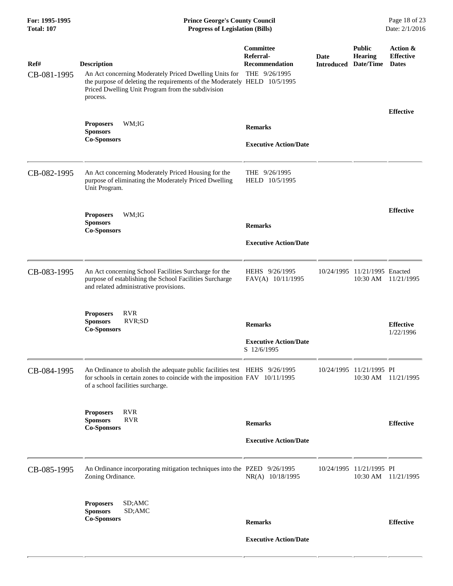| For: 1995-1995<br><b>Total: 107</b> | <b>Prince George's County Council</b><br><b>Progress of Legislation (Bills)</b>                                                                                                                                            |                                                               |                                     |                                      | Page 18 of 23<br>Date: 2/1/2016              |
|-------------------------------------|----------------------------------------------------------------------------------------------------------------------------------------------------------------------------------------------------------------------------|---------------------------------------------------------------|-------------------------------------|--------------------------------------|----------------------------------------------|
| Ref#<br>CB-081-1995                 | <b>Description</b><br>An Act concerning Moderately Priced Dwelling Units for<br>the purpose of deleting the requirements of the Moderately HELD 10/5/1995<br>Priced Dwelling Unit Program from the subdivision<br>process. | Committee<br>Referral-<br>Recommendation<br>THE 9/26/1995     | Date<br><b>Introduced Date/Time</b> | <b>Public</b><br><b>Hearing</b>      | Action &<br><b>Effective</b><br><b>Dates</b> |
|                                     | WM;IG<br><b>Proposers</b><br><b>Sponsors</b><br><b>Co-Sponsors</b>                                                                                                                                                         | <b>Remarks</b><br><b>Executive Action/Date</b>                |                                     |                                      | <b>Effective</b>                             |
| CB-082-1995                         | An Act concerning Moderately Priced Housing for the<br>purpose of eliminating the Moderately Priced Dwelling<br>Unit Program.                                                                                              | THE 9/26/1995<br>HELD 10/5/1995                               |                                     |                                      |                                              |
|                                     | WM;IG<br><b>Proposers</b><br><b>Sponsors</b><br><b>Co-Sponsors</b>                                                                                                                                                         | <b>Remarks</b><br><b>Executive Action/Date</b>                |                                     |                                      | <b>Effective</b>                             |
| CB-083-1995                         | An Act concerning School Facilities Surcharge for the<br>purpose of establishing the School Facilities Surcharge<br>and related administrative provisions.                                                                 | HEHS 9/26/1995<br>FAV(A) 10/11/1995                           |                                     | 10/24/1995 11/21/1995 Enacted        | 10:30 AM 11/21/1995                          |
|                                     | <b>Proposers</b><br><b>RVR</b><br><b>Sponsors</b><br>RVR;SD<br><b>Co-Sponsors</b>                                                                                                                                          | <b>Remarks</b><br><b>Executive Action/Date</b><br>S 12/6/1995 |                                     |                                      | <b>Effective</b><br>1/22/1996                |
| CB-084-1995                         | An Ordinance to abolish the adequate public facilities test HEHS 9/26/1995<br>for schools in certain zones to coincide with the imposition FAV 10/11/1995<br>of a school facilities surcharge.                             |                                                               |                                     | 10/24/1995 11/21/1995 PI             | 10:30 AM 11/21/1995                          |
|                                     | <b>RVR</b><br><b>Proposers</b><br><b>Sponsors</b><br><b>RVR</b><br><b>Co-Sponsors</b>                                                                                                                                      | <b>Remarks</b><br><b>Executive Action/Date</b>                |                                     |                                      | <b>Effective</b>                             |
| CB-085-1995                         | An Ordinance incorporating mitigation techniques into the PZED 9/26/1995<br>Zoning Ordinance.                                                                                                                              | NR(A) 10/18/1995                                              |                                     | 10/24/1995 11/21/1995 PI<br>10:30 AM | 11/21/1995                                   |
|                                     | SD;AMC<br><b>Proposers</b><br><b>Sponsors</b><br>SD;AMC<br><b>Co-Sponsors</b>                                                                                                                                              | <b>Remarks</b><br><b>Executive Action/Date</b>                |                                     |                                      | <b>Effective</b>                             |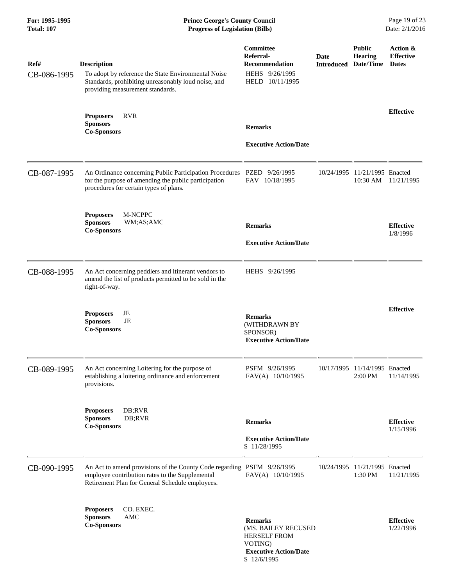| Ref#        | <b>Description</b>                                                                                                                                                           | Committee<br>Referral-<br><b>Recommendation</b>                                                         | Date<br><b>Introduced</b> | <b>Public</b><br><b>Hearing</b><br>Date/Time | Action &<br><b>Effective</b><br><b>Dates</b> |
|-------------|------------------------------------------------------------------------------------------------------------------------------------------------------------------------------|---------------------------------------------------------------------------------------------------------|---------------------------|----------------------------------------------|----------------------------------------------|
| CB-086-1995 | To adopt by reference the State Environmental Noise<br>Standards, prohibiting unreasonably loud noise, and<br>providing measurement standards.                               | HEHS 9/26/1995<br>HELD 10/11/1995                                                                       |                           |                                              |                                              |
|             | <b>Proposers</b><br><b>RVR</b><br><b>Sponsors</b><br><b>Co-Sponsors</b>                                                                                                      | <b>Remarks</b><br><b>Executive Action/Date</b>                                                          |                           |                                              | <b>Effective</b>                             |
| CB-087-1995 | An Ordinance concerning Public Participation Procedures PZED 9/26/1995<br>for the purpose of amending the public participation<br>procedures for certain types of plans.     | FAV 10/18/1995                                                                                          |                           | 10/24/1995 11/21/1995 Enacted<br>10:30 AM    | 11/21/1995                                   |
|             | M-NCPPC<br><b>Proposers</b><br><b>Sponsors</b><br>WM;AS;AMC<br><b>Co-Sponsors</b>                                                                                            | <b>Remarks</b><br><b>Executive Action/Date</b>                                                          |                           |                                              | <b>Effective</b><br>1/8/1996                 |
| CB-088-1995 | An Act concerning peddlers and itinerant vendors to<br>amend the list of products permitted to be sold in the<br>right-of-way.                                               | HEHS 9/26/1995                                                                                          |                           |                                              |                                              |
|             | <b>Proposers</b><br>JE<br>JE<br><b>Sponsors</b><br><b>Co-Sponsors</b>                                                                                                        | <b>Remarks</b><br>(WITHDRAWN BY<br>SPONSOR)<br><b>Executive Action/Date</b>                             |                           |                                              | <b>Effective</b>                             |
| CB-089-1995 | An Act concerning Loitering for the purpose of<br>establishing a loitering ordinance and enforcement<br>provisions.                                                          | PSFM 9/26/1995<br>FAV(A) 10/10/1995                                                                     |                           | 10/17/1995 11/14/1995 Enacted<br>2:00 PM     | 11/14/1995                                   |
|             | DB;RVR<br><b>Proposers</b><br><b>Sponsors</b><br>DB;RVR<br><b>Co-Sponsors</b>                                                                                                | <b>Remarks</b><br><b>Executive Action/Date</b><br>S 11/28/1995                                          |                           |                                              | <b>Effective</b><br>1/15/1996                |
| CB-090-1995 | An Act to amend provisions of the County Code regarding PSFM 9/26/1995<br>employee contribution rates to the Supplemental<br>Retirement Plan for General Schedule employees. | FAV(A) 10/10/1995                                                                                       |                           | 10/24/1995 11/21/1995 Enacted<br>1:30 PM     | 11/21/1995                                   |
|             | CO. EXEC.<br><b>Proposers</b><br><b>AMC</b><br><b>Sponsors</b><br><b>Co-Sponsors</b>                                                                                         | <b>Remarks</b><br>(MS. BAILEY RECUSED<br><b>HERSELF FROM</b><br>VOTING)<br><b>Executive Action/Date</b> |                           |                                              | <b>Effective</b><br>1/22/1996                |

S 12/6/1995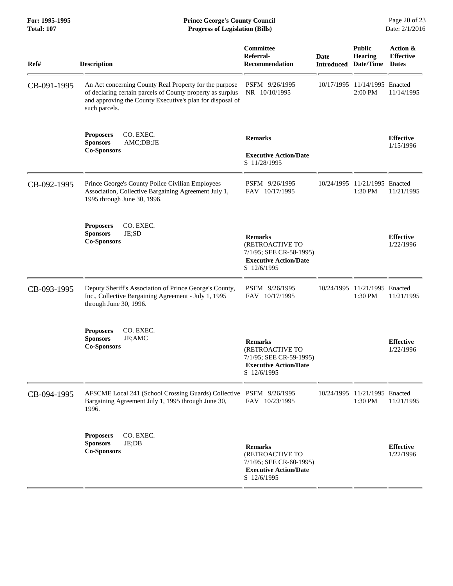| <b>Description</b>                                                                                                                                                                                 | Committee<br>Referral-                                                                                      |                                                                                                | <b>Public</b>                            |                                                                                                 |
|----------------------------------------------------------------------------------------------------------------------------------------------------------------------------------------------------|-------------------------------------------------------------------------------------------------------------|------------------------------------------------------------------------------------------------|------------------------------------------|-------------------------------------------------------------------------------------------------|
|                                                                                                                                                                                                    | <b>Recommendation</b>                                                                                       | <b>Date</b><br><b>Introduced Date/Time</b>                                                     | <b>Hearing</b>                           | Action &<br><b>Effective</b><br><b>Dates</b>                                                    |
| An Act concerning County Real Property for the purpose<br>of declaring certain parcels of County property as surplus<br>and approving the County Executive's plan for disposal of<br>such parcels. | PSFM 9/26/1995<br>NR 10/10/1995                                                                             |                                                                                                | 10/17/1995 11/14/1995 Enacted<br>2:00 PM | 11/14/1995                                                                                      |
| CO. EXEC.<br><b>Proposers</b><br><b>Sponsors</b><br>AMC;DB;JE<br><b>Co-Sponsors</b>                                                                                                                | <b>Remarks</b><br><b>Executive Action/Date</b><br>S 11/28/1995                                              |                                                                                                |                                          | <b>Effective</b><br>1/15/1996                                                                   |
| Prince George's County Police Civilian Employees<br>Association, Collective Bargaining Agreement July 1,<br>1995 through June 30, 1996.                                                            | PSFM 9/26/1995<br>FAV 10/17/1995                                                                            |                                                                                                | 1:30 PM                                  | 11/21/1995                                                                                      |
| CO. EXEC.<br><b>Proposers</b><br>JE;SD<br><b>Sponsors</b><br><b>Co-Sponsors</b>                                                                                                                    | <b>Remarks</b><br>(RETROACTIVE TO<br><b>Executive Action/Date</b><br>S 12/6/1995                            |                                                                                                |                                          | <b>Effective</b><br>1/22/1996                                                                   |
| Deputy Sheriff's Association of Prince George's County,<br>Inc., Collective Bargaining Agreement - July 1, 1995<br>through June 30, 1996.                                                          | PSFM 9/26/1995<br>FAV 10/17/1995                                                                            |                                                                                                | 1:30 PM                                  | 11/21/1995                                                                                      |
| CO. EXEC.<br><b>Proposers</b><br><b>Sponsors</b><br>JE;AMC<br><b>Co-Sponsors</b>                                                                                                                   | <b>Remarks</b><br>(RETROACTIVE TO<br><b>Executive Action/Date</b><br>S 12/6/1995                            |                                                                                                |                                          | <b>Effective</b><br>1/22/1996                                                                   |
| Bargaining Agreement July 1, 1995 through June 30,<br>1996.                                                                                                                                        | FAV 10/23/1995                                                                                              |                                                                                                | 1:30 PM                                  | 11/21/1995                                                                                      |
| <b>Proposers</b><br>CO. EXEC.<br>JE;DB<br><b>Sponsors</b><br><b>Co-Sponsors</b>                                                                                                                    | <b>Remarks</b><br>(RETROACTIVE TO<br>7/1/95; SEE CR-60-1995)<br><b>Executive Action/Date</b><br>S 12/6/1995 |                                                                                                |                                          | <b>Effective</b><br>1/22/1996                                                                   |
|                                                                                                                                                                                                    |                                                                                                             | 7/1/95; SEE CR-59-1995)<br>AFSCME Local 241 (School Crossing Guards) Collective PSFM 9/26/1995 | 7/1/95; SEE CR-58-1995)                  | 10/24/1995 11/21/1995 Enacted<br>10/24/1995 11/21/1995 Enacted<br>10/24/1995 11/21/1995 Enacted |

**For: 1995-1995 Prince George's County Council** Page 20 of 23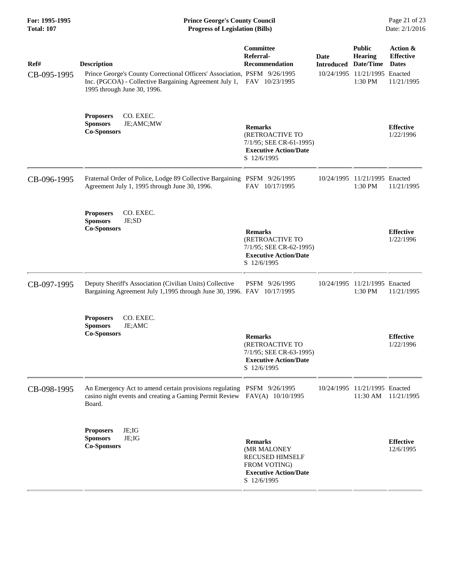| For: 1995-1995<br><b>Total: 107</b> | <b>Prince George's County Council</b><br>Page 21 of 23<br><b>Progress of Legislation (Bills)</b><br>Date: 2/1/2016                                                                                      |                                                                                                                                |                           |                                                                                          |                                                            |
|-------------------------------------|---------------------------------------------------------------------------------------------------------------------------------------------------------------------------------------------------------|--------------------------------------------------------------------------------------------------------------------------------|---------------------------|------------------------------------------------------------------------------------------|------------------------------------------------------------|
| Ref#<br>CB-095-1995                 | <b>Description</b><br>Prince George's County Correctional Officers' Association, PSFM 9/26/1995<br>Inc. (PGCOA) - Collective Bargaining Agreement July 1, FAV 10/23/1995<br>1995 through June 30, 1996. | <b>Committee</b><br>Referral-<br>Recommendation                                                                                | Date<br><b>Introduced</b> | <b>Public</b><br><b>Hearing</b><br>Date/Time<br>10/24/1995 11/21/1995 Enacted<br>1:30 PM | Action &<br><b>Effective</b><br><b>Dates</b><br>11/21/1995 |
|                                     | CO. EXEC.<br><b>Proposers</b><br><b>Sponsors</b><br>JE;AMC;MW<br><b>Co-Sponsors</b>                                                                                                                     | <b>Remarks</b><br>(RETROACTIVE TO<br>7/1/95; SEE CR-61-1995)<br><b>Executive Action/Date</b><br>S 12/6/1995                    |                           |                                                                                          | <b>Effective</b><br>1/22/1996                              |
| CB-096-1995                         | Fraternal Order of Police, Lodge 89 Collective Bargaining PSFM 9/26/1995<br>Agreement July 1, 1995 through June 30, 1996.                                                                               | FAV 10/17/1995                                                                                                                 |                           | 10/24/1995 11/21/1995 Enacted<br>1:30 PM                                                 | 11/21/1995                                                 |
|                                     | CO. EXEC.<br><b>Proposers</b><br>JE;SD<br><b>Sponsors</b><br><b>Co-Sponsors</b>                                                                                                                         | <b>Remarks</b><br>(RETROACTIVE TO<br>7/1/95; SEE CR-62-1995)<br><b>Executive Action/Date</b><br>S 12/6/1995                    |                           |                                                                                          | <b>Effective</b><br>1/22/1996                              |
| CB-097-1995                         | Deputy Sheriff's Association (Civilian Units) Collective<br>Bargaining Agreement July 1,1995 through June 30, 1996. FAV 10/17/1995                                                                      | PSFM 9/26/1995                                                                                                                 |                           | 10/24/1995 11/21/1995 Enacted<br>1:30 PM                                                 | 11/21/1995                                                 |
|                                     | CO. EXEC.<br><b>Proposers</b><br><b>Sponsors</b><br>JE;AMC<br><b>Co-Sponsors</b>                                                                                                                        | <b>Remarks</b><br>(RETROACTIVE TO<br>7/1/95; SEE CR-63-1995)<br><b>Executive Action/Date</b><br>S 12/6/1995                    |                           |                                                                                          | <b>Effective</b><br>1/22/1996                              |
| CB-098-1995                         | An Emergency Act to amend certain provisions regulating PSFM 9/26/1995<br>casino night events and creating a Gaming Permit Review<br>Board.                                                             | FAV(A) 10/10/1995                                                                                                              |                           | 10/24/1995 11/21/1995 Enacted<br>11:30 AM                                                | 11/21/1995                                                 |
|                                     | JE;IG<br><b>Proposers</b><br><b>Sponsors</b><br>JE;IG<br><b>Co-Sponsors</b>                                                                                                                             | <b>Remarks</b><br>(MR MALONEY<br><b>RECUSED HIMSELF</b><br><b>FROM VOTING</b> )<br><b>Executive Action/Date</b><br>S 12/6/1995 |                           |                                                                                          | <b>Effective</b><br>12/6/1995                              |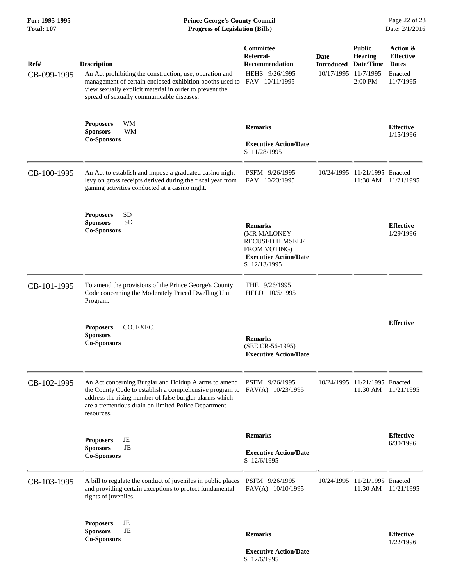| For: 1995-1995<br><b>Total: 107</b> | <b>Prince George's County Council</b><br>Page 22 of 23<br>Date: 2/1/2016<br><b>Progress of Legislation (Bills)</b>                                                                                                                                |                                                                                                                                 |                                                   |                                                           |                                                                      |
|-------------------------------------|---------------------------------------------------------------------------------------------------------------------------------------------------------------------------------------------------------------------------------------------------|---------------------------------------------------------------------------------------------------------------------------------|---------------------------------------------------|-----------------------------------------------------------|----------------------------------------------------------------------|
| Ref#<br>CB-099-1995                 | <b>Description</b><br>An Act prohibiting the construction, use, operation and<br>management of certain enclosed exhibition booths used to<br>view sexually explicit material in order to prevent the<br>spread of sexually communicable diseases. | <b>Committee</b><br>Referral-<br><b>Recommendation</b><br>HEHS 9/26/1995<br>FAV 10/11/1995                                      | Date<br><b>Introduced</b><br>10/17/1995 11/7/1995 | <b>Public</b><br><b>Hearing</b><br>Date/Time<br>$2:00$ PM | Action &<br><b>Effective</b><br><b>Dates</b><br>Enacted<br>11/7/1995 |
|                                     | WM<br><b>Proposers</b><br><b>Sponsors</b><br>WM<br><b>Co-Sponsors</b>                                                                                                                                                                             | <b>Remarks</b><br><b>Executive Action/Date</b><br>S 11/28/1995                                                                  |                                                   |                                                           | <b>Effective</b><br>1/15/1996                                        |
| CB-100-1995                         | An Act to establish and impose a graduated casino night<br>levy on gross receipts derived during the fiscal year from<br>gaming activities conducted at a casino night.                                                                           | PSFM 9/26/1995<br>FAV 10/23/1995                                                                                                |                                                   | 10/24/1995 11/21/1995 Enacted<br>$11:30$ AM               | 11/21/1995                                                           |
|                                     | <b>SD</b><br><b>Proposers</b><br><b>SD</b><br><b>Sponsors</b><br><b>Co-Sponsors</b>                                                                                                                                                               | <b>Remarks</b><br>(MR MALONEY<br><b>RECUSED HIMSELF</b><br><b>FROM VOTING</b> )<br><b>Executive Action/Date</b><br>S 12/13/1995 |                                                   |                                                           | <b>Effective</b><br>1/29/1996                                        |
| CB-101-1995                         | To amend the provisions of the Prince George's County<br>Code concerning the Moderately Priced Dwelling Unit<br>Program.                                                                                                                          | THE $9/26/1995$<br>HELD 10/5/1995                                                                                               |                                                   |                                                           |                                                                      |
|                                     | <b>Proposers</b><br>CO. EXEC.<br><b>Sponsors</b><br><b>Co-Sponsors</b>                                                                                                                                                                            | <b>Remarks</b><br>(SEE CR-56-1995)<br><b>Executive Action/Date</b>                                                              |                                                   |                                                           | <b>Effective</b>                                                     |
| CB-102-1995                         | An Act concerning Burglar and Holdup Alarms to amend<br>the County Code to establish a comprehensive program to<br>address the rising number of false burglar alarms which<br>are a tremendous drain on limited Police Department<br>resources.   | PSFM 9/26/1995<br>FAV(A) 10/23/1995                                                                                             |                                                   | 10/24/1995 11/21/1995 Enacted<br>11:30 AM                 | 11/21/1995                                                           |
|                                     | JE<br><b>Proposers</b><br>JE<br><b>Sponsors</b><br><b>Co-Sponsors</b>                                                                                                                                                                             | <b>Remarks</b><br><b>Executive Action/Date</b><br>S 12/6/1995                                                                   |                                                   |                                                           | <b>Effective</b><br>6/30/1996                                        |
| CB-103-1995                         | A bill to regulate the conduct of juveniles in public places<br>and providing certain exceptions to protect fundamental<br>rights of juveniles.                                                                                                   | PSFM 9/26/1995<br>FAV(A) 10/10/1995                                                                                             |                                                   | 10/24/1995 11/21/1995 Enacted<br>11:30 AM                 | 11/21/1995                                                           |
|                                     | JE<br><b>Proposers</b><br><b>Sponsors</b><br>JE<br><b>Co-Sponsors</b>                                                                                                                                                                             | <b>Remarks</b>                                                                                                                  |                                                   |                                                           | <b>Effective</b><br>1/22/1996                                        |
|                                     |                                                                                                                                                                                                                                                   | <b>Executive Action/Date</b>                                                                                                    |                                                   |                                                           |                                                                      |

S 12/6/1995